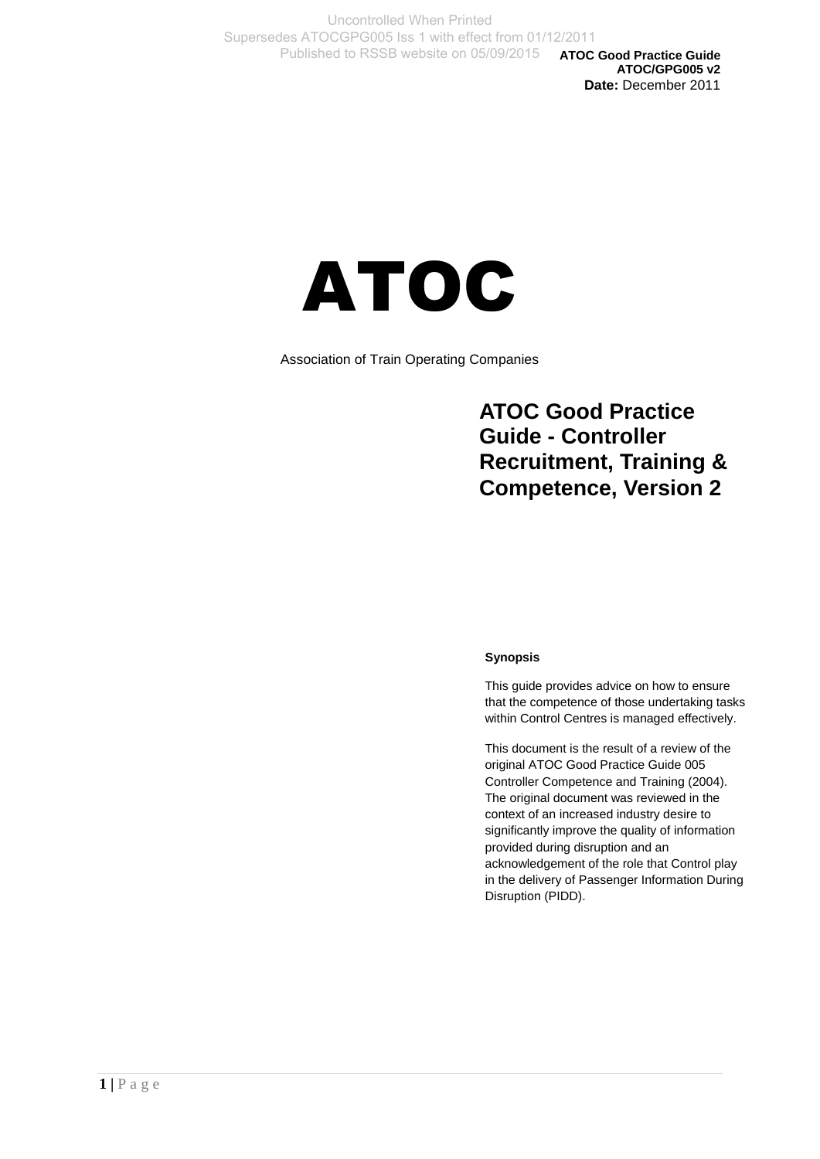**ATOC Good Practice Guide ATOC/GPG005 v2 Date:** December 2011

# ATOC

Association of Train Operating Companies

# **ATOC Good Practice Guide - Controller Recruitment, Training & Competence, Version 2**

#### **Synopsis**

This guide provides advice on how to ensure that the competence of those undertaking tasks within Control Centres is managed effectively.

This document is the result of a review of the original ATOC Good Practice Guide 005 Controller Competence and Training (2004). The original document was reviewed in the context of an increased industry desire to significantly improve the quality of information provided during disruption and an acknowledgement of the role that Control play in the delivery of Passenger Information During Disruption (PIDD).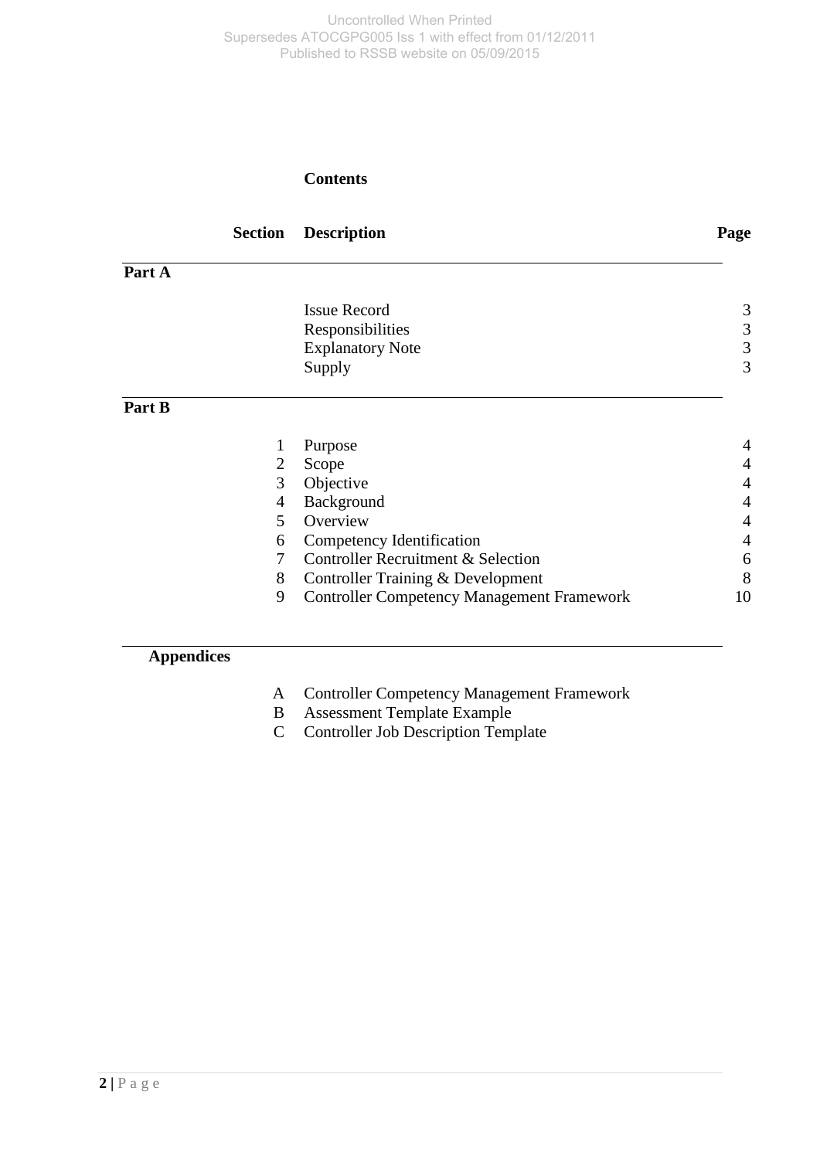#### **Contents**

|        | <b>Section</b> | <b>Description</b>                                | Page           |
|--------|----------------|---------------------------------------------------|----------------|
| Part A |                |                                                   |                |
|        |                | <b>Issue Record</b>                               | 3              |
|        |                | Responsibilities                                  | $\mathfrak{Z}$ |
|        |                | <b>Explanatory Note</b>                           | $\mathfrak{Z}$ |
|        |                | Supply                                            | 3              |
| Part B |                |                                                   |                |
|        | 1              | Purpose                                           | 4              |
|        | 2              | Scope                                             | 4              |
|        | 3              | Objective                                         | 4              |
|        | 4              | Background                                        | $\overline{4}$ |
|        | 5              | Overview                                          | 4              |
|        | 6              | Competency Identification                         | 4              |
|        | 7              | Controller Recruitment & Selection                | 6              |
|        | 8              | Controller Training & Development                 | 8              |
|        | 9              | <b>Controller Competency Management Framework</b> | 10             |
|        |                |                                                   |                |
|        |                |                                                   |                |

## **Appendices**

- A Controller Competency Management Framework
- B Assessment Template Example
- C Controller Job Description Template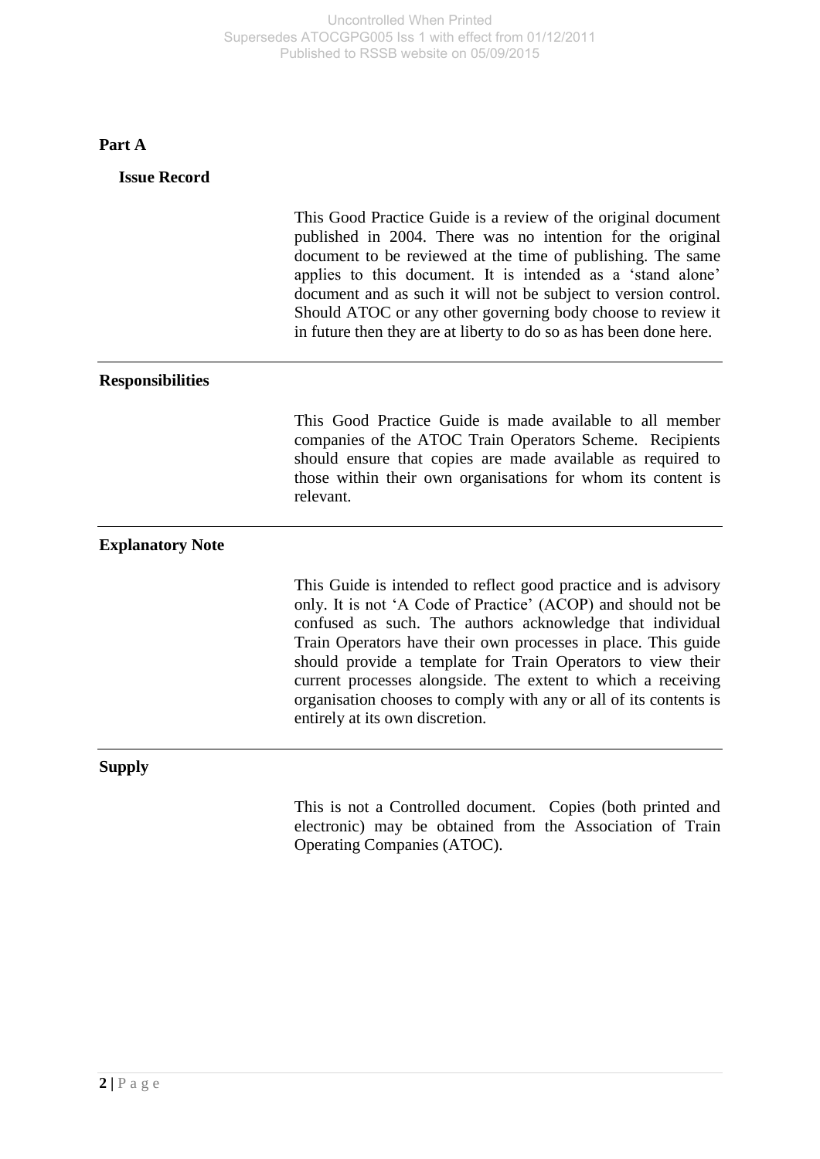## **Part A**

| <b>Issue Record</b>     |                                                                                                                                                                                                                                                                                                                                                                                                                                                                                                       |
|-------------------------|-------------------------------------------------------------------------------------------------------------------------------------------------------------------------------------------------------------------------------------------------------------------------------------------------------------------------------------------------------------------------------------------------------------------------------------------------------------------------------------------------------|
|                         | This Good Practice Guide is a review of the original document<br>published in 2004. There was no intention for the original<br>document to be reviewed at the time of publishing. The same<br>applies to this document. It is intended as a 'stand alone'<br>document and as such it will not be subject to version control.<br>Should ATOC or any other governing body choose to review it<br>in future then they are at liberty to do so as has been done here.                                     |
| <b>Responsibilities</b> |                                                                                                                                                                                                                                                                                                                                                                                                                                                                                                       |
|                         | This Good Practice Guide is made available to all member<br>companies of the ATOC Train Operators Scheme. Recipients<br>should ensure that copies are made available as required to<br>those within their own organisations for whom its content is<br>relevant.                                                                                                                                                                                                                                      |
| <b>Explanatory Note</b> |                                                                                                                                                                                                                                                                                                                                                                                                                                                                                                       |
|                         | This Guide is intended to reflect good practice and is advisory<br>only. It is not 'A Code of Practice' (ACOP) and should not be<br>confused as such. The authors acknowledge that individual<br>Train Operators have their own processes in place. This guide<br>should provide a template for Train Operators to view their<br>current processes alongside. The extent to which a receiving<br>organisation chooses to comply with any or all of its contents is<br>entirely at its own discretion. |
| <b>Supply</b>           |                                                                                                                                                                                                                                                                                                                                                                                                                                                                                                       |
|                         | This is not a Controlled document. Copies (both printed and<br>electronic) may be obtained from the Association of Train<br>Operating Companies (ATOC).                                                                                                                                                                                                                                                                                                                                               |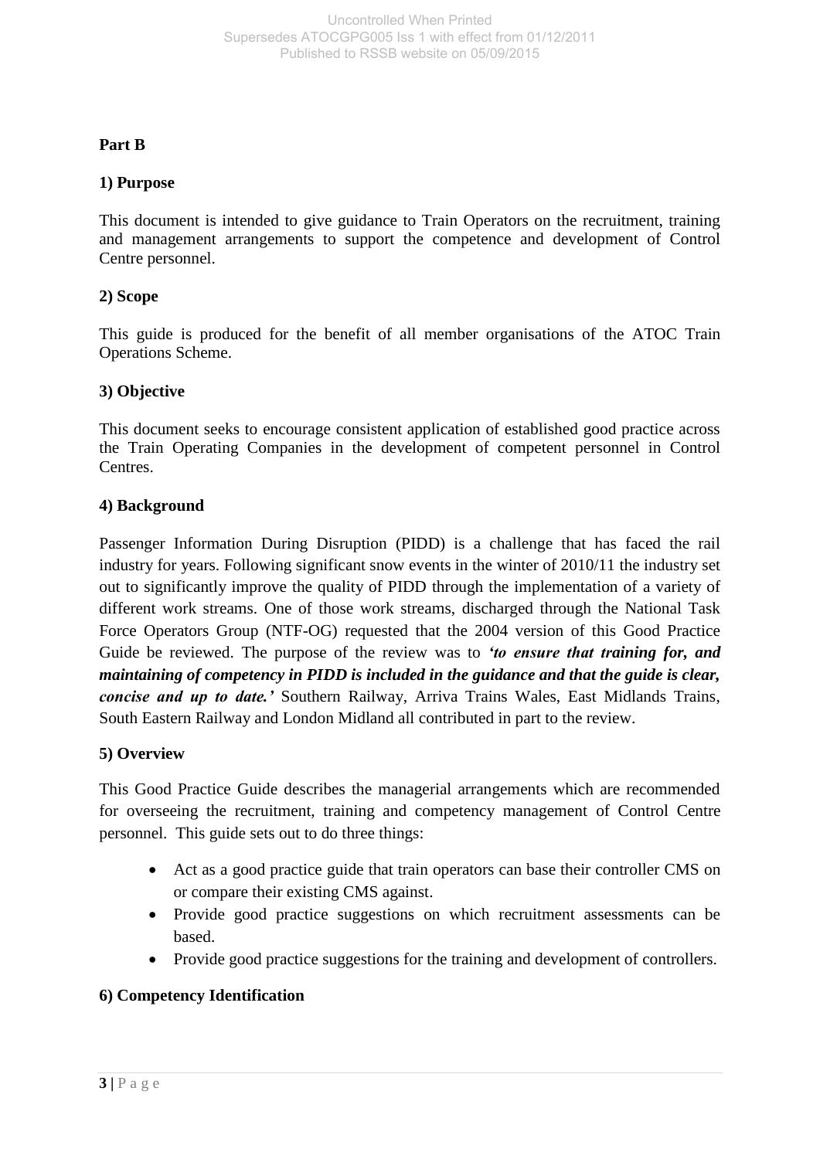#### **Part B**

#### **1) Purpose**

This document is intended to give guidance to Train Operators on the recruitment, training and management arrangements to support the competence and development of Control Centre personnel.

#### **2) Scope**

This guide is produced for the benefit of all member organisations of the ATOC Train Operations Scheme.

#### **3) Objective**

This document seeks to encourage consistent application of established good practice across the Train Operating Companies in the development of competent personnel in Control Centres.

#### **4) Background**

Passenger Information During Disruption (PIDD) is a challenge that has faced the rail industry for years. Following significant snow events in the winter of 2010/11 the industry set out to significantly improve the quality of PIDD through the implementation of a variety of different work streams. One of those work streams, discharged through the National Task Force Operators Group (NTF-OG) requested that the 2004 version of this Good Practice Guide be reviewed. The purpose of the review was to *'to ensure that training for, and maintaining of competency in PIDD is included in the guidance and that the guide is clear, concise and up to date.'* Southern Railway, Arriva Trains Wales, East Midlands Trains, South Eastern Railway and London Midland all contributed in part to the review.

#### **5) Overview**

This Good Practice Guide describes the managerial arrangements which are recommended for overseeing the recruitment, training and competency management of Control Centre personnel. This guide sets out to do three things:

- Act as a good practice guide that train operators can base their controller CMS on or compare their existing CMS against.
- Provide good practice suggestions on which recruitment assessments can be based.
- Provide good practice suggestions for the training and development of controllers.

#### **6) Competency Identification**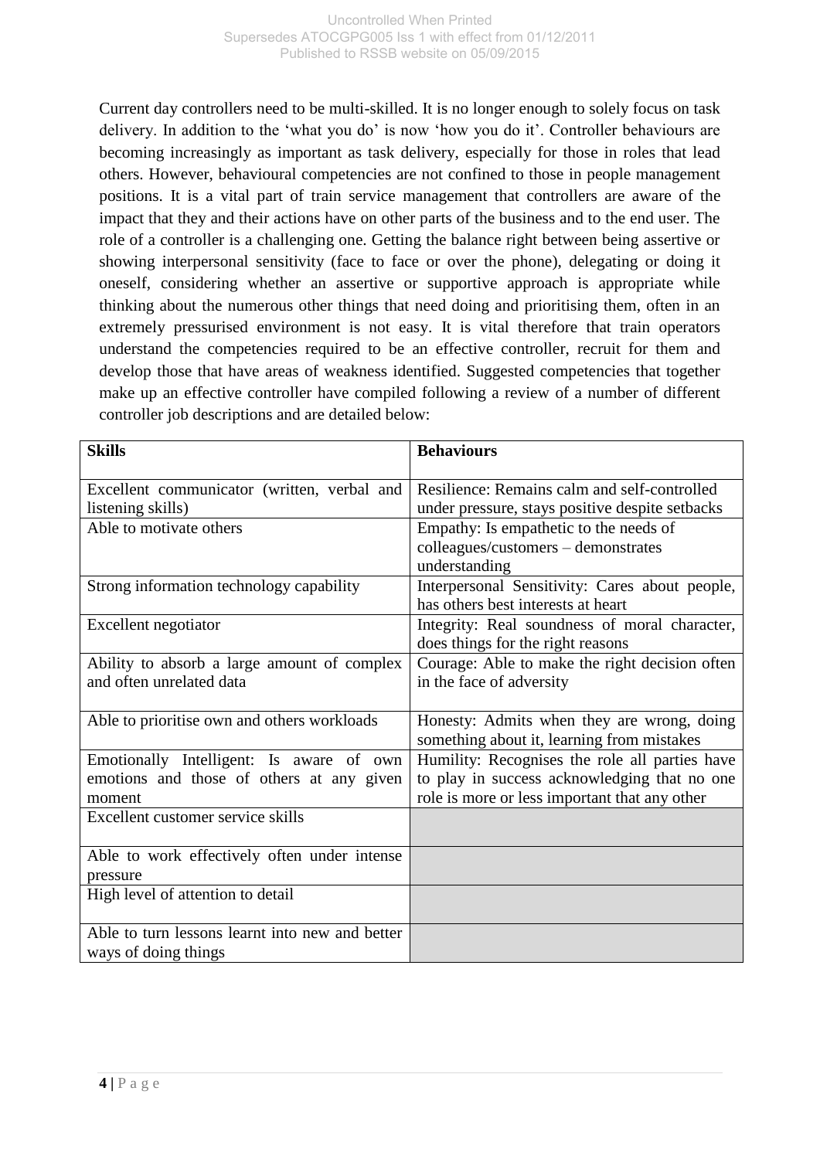Current day controllers need to be multi-skilled. It is no longer enough to solely focus on task delivery. In addition to the 'what you do' is now 'how you do it'. Controller behaviours are becoming increasingly as important as task delivery, especially for those in roles that lead others. However, behavioural competencies are not confined to those in people management positions. It is a vital part of train service management that controllers are aware of the impact that they and their actions have on other parts of the business and to the end user. The role of a controller is a challenging one. Getting the balance right between being assertive or showing interpersonal sensitivity (face to face or over the phone), delegating or doing it oneself, considering whether an assertive or supportive approach is appropriate while thinking about the numerous other things that need doing and prioritising them, often in an extremely pressurised environment is not easy. It is vital therefore that train operators understand the competencies required to be an effective controller, recruit for them and develop those that have areas of weakness identified. Suggested competencies that together make up an effective controller have compiled following a review of a number of different controller job descriptions and are detailed below:

| <b>Skills</b>                                   | <b>Behaviours</b>                               |
|-------------------------------------------------|-------------------------------------------------|
|                                                 |                                                 |
| Excellent communicator (written, verbal and     | Resilience: Remains calm and self-controlled    |
| listening skills)                               | under pressure, stays positive despite setbacks |
| Able to motivate others                         | Empathy: Is empathetic to the needs of          |
|                                                 | colleagues/customers - demonstrates             |
|                                                 | understanding                                   |
| Strong information technology capability        | Interpersonal Sensitivity: Cares about people,  |
|                                                 | has others best interests at heart              |
| Excellent negotiator                            | Integrity: Real soundness of moral character,   |
|                                                 | does things for the right reasons               |
| Ability to absorb a large amount of complex     | Courage: Able to make the right decision often  |
| and often unrelated data                        | in the face of adversity                        |
|                                                 |                                                 |
| Able to prioritise own and others workloads     | Honesty: Admits when they are wrong, doing      |
|                                                 | something about it, learning from mistakes      |
| Emotionally Intelligent: Is aware of own        | Humility: Recognises the role all parties have  |
| emotions and those of others at any given       | to play in success acknowledging that no one    |
| moment                                          | role is more or less important that any other   |
| Excellent customer service skills               |                                                 |
|                                                 |                                                 |
| Able to work effectively often under intense    |                                                 |
| pressure                                        |                                                 |
| High level of attention to detail               |                                                 |
|                                                 |                                                 |
| Able to turn lessons learnt into new and better |                                                 |
| ways of doing things                            |                                                 |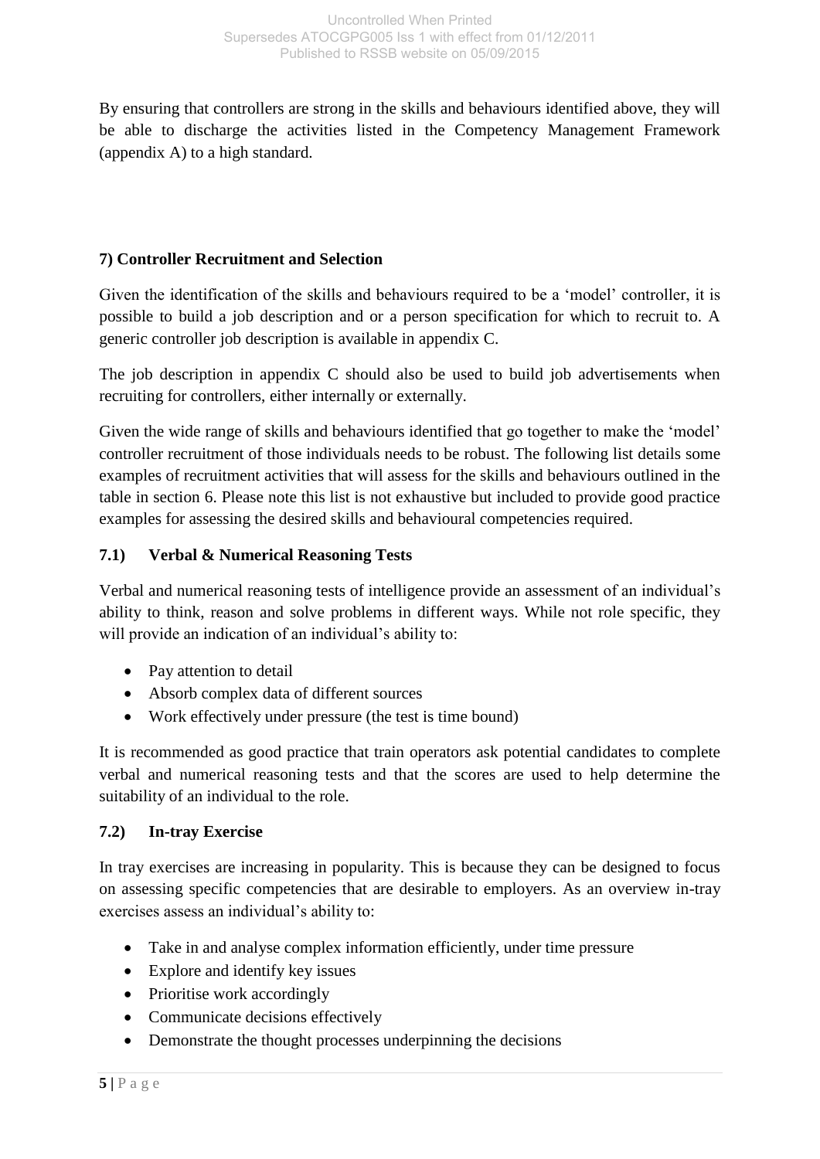By ensuring that controllers are strong in the skills and behaviours identified above, they will be able to discharge the activities listed in the Competency Management Framework (appendix A) to a high standard.

## **7) Controller Recruitment and Selection**

Given the identification of the skills and behaviours required to be a 'model' controller, it is possible to build a job description and or a person specification for which to recruit to. A generic controller job description is available in appendix C.

The job description in appendix C should also be used to build job advertisements when recruiting for controllers, either internally or externally.

Given the wide range of skills and behaviours identified that go together to make the 'model' controller recruitment of those individuals needs to be robust. The following list details some examples of recruitment activities that will assess for the skills and behaviours outlined in the table in section 6. Please note this list is not exhaustive but included to provide good practice examples for assessing the desired skills and behavioural competencies required.

## **7.1) Verbal & Numerical Reasoning Tests**

Verbal and numerical reasoning tests of intelligence provide an assessment of an individual's ability to think, reason and solve problems in different ways. While not role specific, they will provide an indication of an individual's ability to:

- Pay attention to detail
- Absorb complex data of different sources
- Work effectively under pressure (the test is time bound)

It is recommended as good practice that train operators ask potential candidates to complete verbal and numerical reasoning tests and that the scores are used to help determine the suitability of an individual to the role.

## **7.2) In-tray Exercise**

In tray exercises are increasing in popularity. This is because they can be designed to focus on assessing specific competencies that are desirable to employers. As an overview in-tray exercises assess an individual's ability to:

- Take in and analyse complex information efficiently, under time pressure
- Explore and identify key issues
- Prioritise work accordingly
- Communicate decisions effectively
- Demonstrate the thought processes underpinning the decisions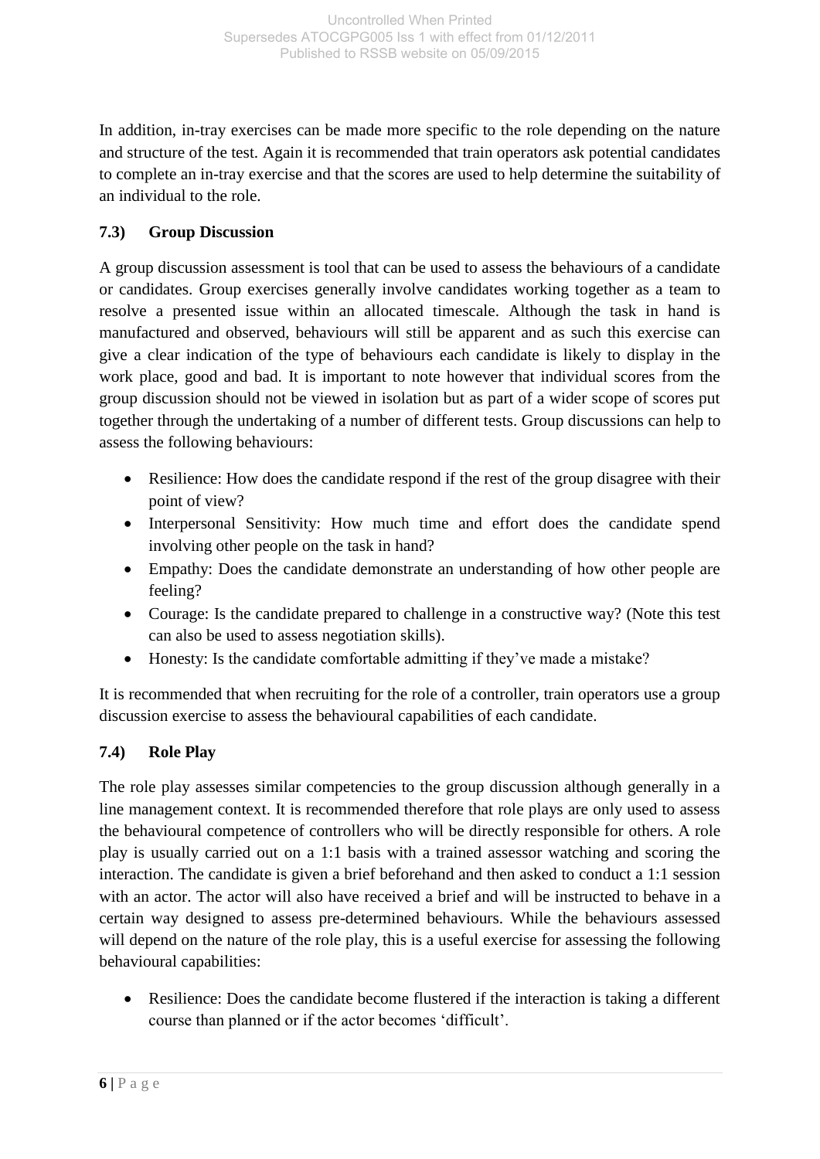In addition, in-tray exercises can be made more specific to the role depending on the nature and structure of the test. Again it is recommended that train operators ask potential candidates to complete an in-tray exercise and that the scores are used to help determine the suitability of an individual to the role.

## **7.3) Group Discussion**

A group discussion assessment is tool that can be used to assess the behaviours of a candidate or candidates. Group exercises generally involve candidates working together as a team to resolve a presented issue within an allocated timescale. Although the task in hand is manufactured and observed, behaviours will still be apparent and as such this exercise can give a clear indication of the type of behaviours each candidate is likely to display in the work place, good and bad. It is important to note however that individual scores from the group discussion should not be viewed in isolation but as part of a wider scope of scores put together through the undertaking of a number of different tests. Group discussions can help to assess the following behaviours:

- Resilience: How does the candidate respond if the rest of the group disagree with their point of view?
- Interpersonal Sensitivity: How much time and effort does the candidate spend involving other people on the task in hand?
- Empathy: Does the candidate demonstrate an understanding of how other people are feeling?
- Courage: Is the candidate prepared to challenge in a constructive way? (Note this test can also be used to assess negotiation skills).
- Honesty: Is the candidate comfortable admitting if they've made a mistake?

It is recommended that when recruiting for the role of a controller, train operators use a group discussion exercise to assess the behavioural capabilities of each candidate.

## **7.4) Role Play**

The role play assesses similar competencies to the group discussion although generally in a line management context. It is recommended therefore that role plays are only used to assess the behavioural competence of controllers who will be directly responsible for others. A role play is usually carried out on a 1:1 basis with a trained assessor watching and scoring the interaction. The candidate is given a brief beforehand and then asked to conduct a 1:1 session with an actor. The actor will also have received a brief and will be instructed to behave in a certain way designed to assess pre-determined behaviours. While the behaviours assessed will depend on the nature of the role play, this is a useful exercise for assessing the following behavioural capabilities:

 Resilience: Does the candidate become flustered if the interaction is taking a different course than planned or if the actor becomes 'difficult'.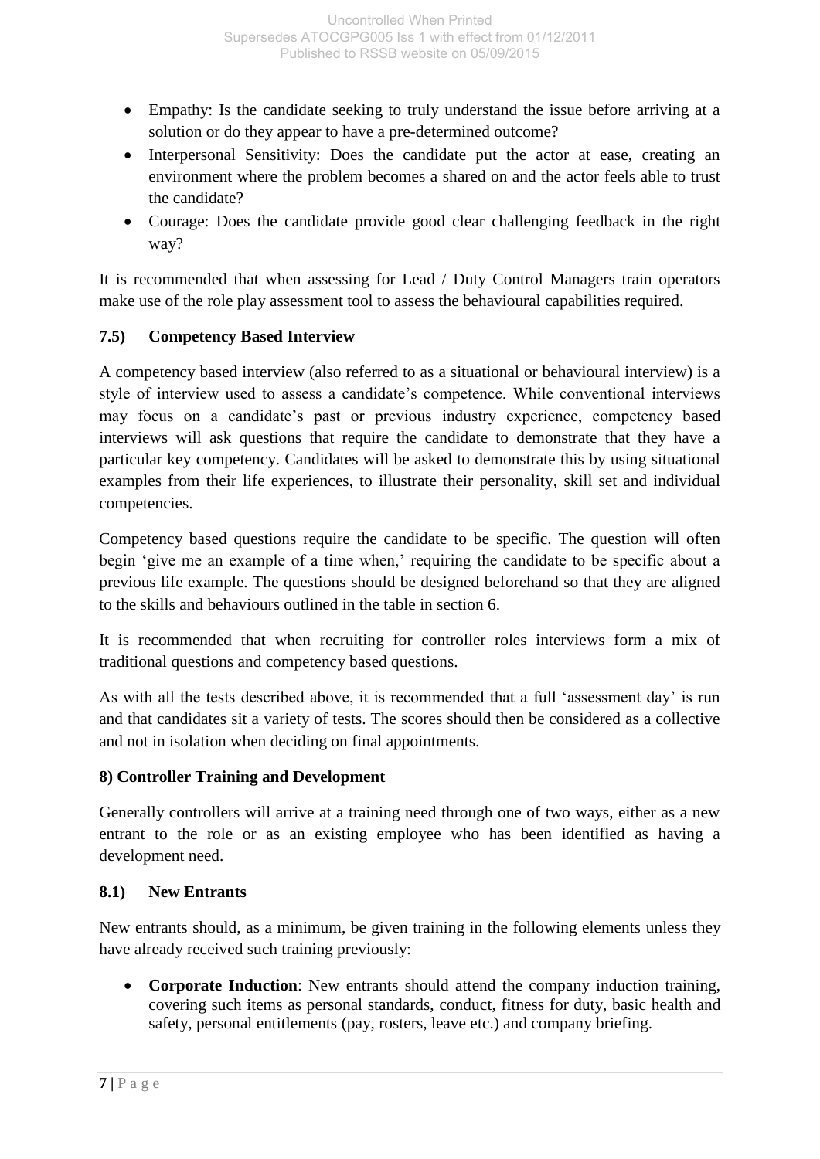- Empathy: Is the candidate seeking to truly understand the issue before arriving at a solution or do they appear to have a pre-determined outcome?
- Interpersonal Sensitivity: Does the candidate put the actor at ease, creating an environment where the problem becomes a shared on and the actor feels able to trust the candidate?
- Courage: Does the candidate provide good clear challenging feedback in the right way?

It is recommended that when assessing for Lead / Duty Control Managers train operators make use of the role play assessment tool to assess the behavioural capabilities required.

## **7.5) Competency Based Interview**

A competency based interview (also referred to as a situational or behavioural interview) is a style of interview used to assess a candidate's competence. While conventional interviews may focus on a candidate's past or previous industry experience, competency based interviews will ask questions that require the candidate to demonstrate that they have a particular key competency. Candidates will be asked to demonstrate this by using situational examples from their life experiences, to illustrate their personality, skill set and individual competencies.

Competency based questions require the candidate to be specific. The question will often begin 'give me an example of a time when,' requiring the candidate to be specific about a previous life example. The questions should be designed beforehand so that they are aligned to the skills and behaviours outlined in the table in section 6.

It is recommended that when recruiting for controller roles interviews form a mix of traditional questions and competency based questions.

As with all the tests described above, it is recommended that a full 'assessment day' is run and that candidates sit a variety of tests. The scores should then be considered as a collective and not in isolation when deciding on final appointments.

## **8) Controller Training and Development**

Generally controllers will arrive at a training need through one of two ways, either as a new entrant to the role or as an existing employee who has been identified as having a development need.

## **8.1) New Entrants**

New entrants should, as a minimum, be given training in the following elements unless they have already received such training previously:

 **Corporate Induction**: New entrants should attend the company induction training, covering such items as personal standards, conduct, fitness for duty, basic health and safety, personal entitlements (pay, rosters, leave etc.) and company briefing.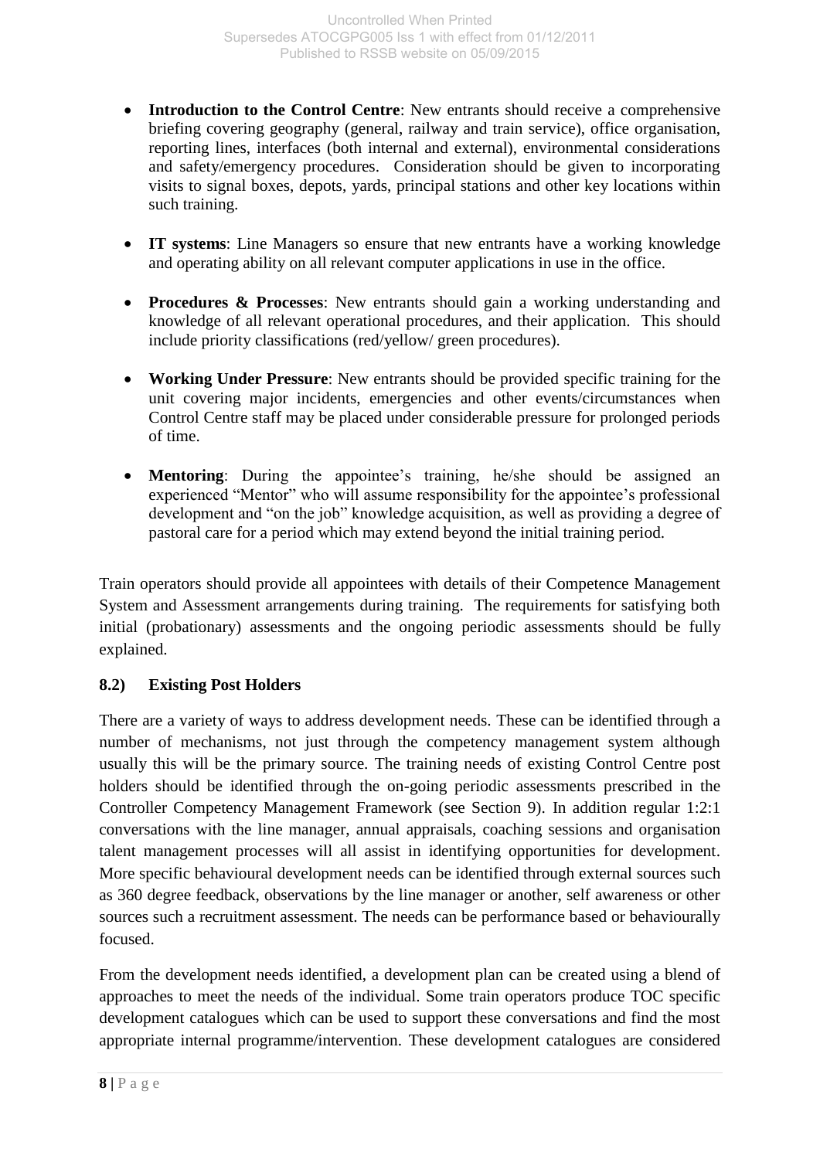- **Introduction to the Control Centre**: New entrants should receive a comprehensive briefing covering geography (general, railway and train service), office organisation, reporting lines, interfaces (both internal and external), environmental considerations and safety/emergency procedures. Consideration should be given to incorporating visits to signal boxes, depots, yards, principal stations and other key locations within such training.
- **IT systems**: Line Managers so ensure that new entrants have a working knowledge and operating ability on all relevant computer applications in use in the office.
- **Procedures & Processes**: New entrants should gain a working understanding and knowledge of all relevant operational procedures, and their application. This should include priority classifications (red/yellow/ green procedures).
- **Working Under Pressure**: New entrants should be provided specific training for the unit covering major incidents, emergencies and other events/circumstances when Control Centre staff may be placed under considerable pressure for prolonged periods of time.
- **Mentoring**: During the appointee's training, he/she should be assigned an experienced "Mentor" who will assume responsibility for the appointee's professional development and "on the job" knowledge acquisition, as well as providing a degree of pastoral care for a period which may extend beyond the initial training period.

Train operators should provide all appointees with details of their Competence Management System and Assessment arrangements during training. The requirements for satisfying both initial (probationary) assessments and the ongoing periodic assessments should be fully explained.

## **8.2) Existing Post Holders**

There are a variety of ways to address development needs. These can be identified through a number of mechanisms, not just through the competency management system although usually this will be the primary source. The training needs of existing Control Centre post holders should be identified through the on-going periodic assessments prescribed in the Controller Competency Management Framework (see Section 9). In addition regular 1:2:1 conversations with the line manager, annual appraisals, coaching sessions and organisation talent management processes will all assist in identifying opportunities for development. More specific behavioural development needs can be identified through external sources such as 360 degree feedback, observations by the line manager or another, self awareness or other sources such a recruitment assessment. The needs can be performance based or behaviourally focused.

From the development needs identified, a development plan can be created using a blend of approaches to meet the needs of the individual. Some train operators produce TOC specific development catalogues which can be used to support these conversations and find the most appropriate internal programme/intervention. These development catalogues are considered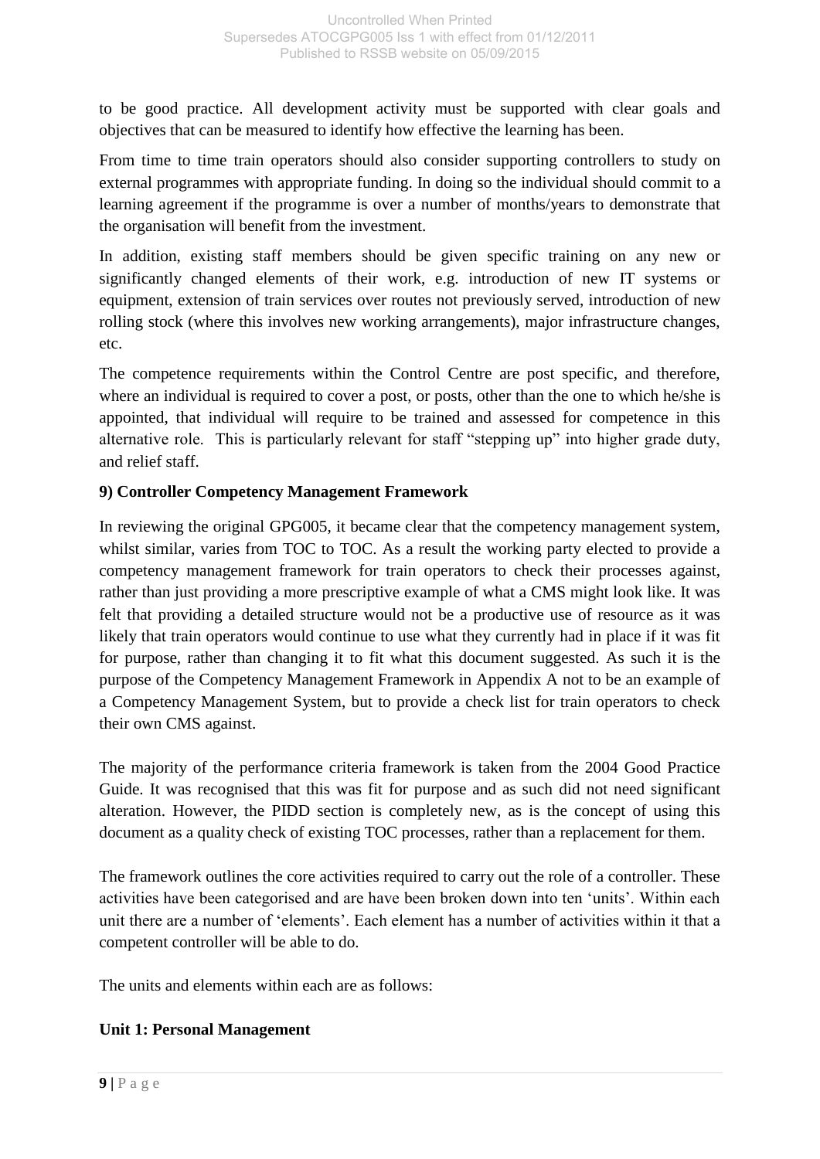to be good practice. All development activity must be supported with clear goals and objectives that can be measured to identify how effective the learning has been.

From time to time train operators should also consider supporting controllers to study on external programmes with appropriate funding. In doing so the individual should commit to a learning agreement if the programme is over a number of months/years to demonstrate that the organisation will benefit from the investment.

In addition, existing staff members should be given specific training on any new or significantly changed elements of their work, e.g. introduction of new IT systems or equipment, extension of train services over routes not previously served, introduction of new rolling stock (where this involves new working arrangements), major infrastructure changes, etc.

The competence requirements within the Control Centre are post specific, and therefore, where an individual is required to cover a post, or posts, other than the one to which he/she is appointed, that individual will require to be trained and assessed for competence in this alternative role. This is particularly relevant for staff "stepping up" into higher grade duty, and relief staff.

## **9) Controller Competency Management Framework**

In reviewing the original GPG005, it became clear that the competency management system, whilst similar, varies from TOC to TOC. As a result the working party elected to provide a competency management framework for train operators to check their processes against, rather than just providing a more prescriptive example of what a CMS might look like. It was felt that providing a detailed structure would not be a productive use of resource as it was likely that train operators would continue to use what they currently had in place if it was fit for purpose, rather than changing it to fit what this document suggested. As such it is the purpose of the Competency Management Framework in Appendix A not to be an example of a Competency Management System, but to provide a check list for train operators to check their own CMS against.

The majority of the performance criteria framework is taken from the 2004 Good Practice Guide. It was recognised that this was fit for purpose and as such did not need significant alteration. However, the PIDD section is completely new, as is the concept of using this document as a quality check of existing TOC processes, rather than a replacement for them.

The framework outlines the core activities required to carry out the role of a controller. These activities have been categorised and are have been broken down into ten 'units'. Within each unit there are a number of 'elements'. Each element has a number of activities within it that a competent controller will be able to do.

The units and elements within each are as follows:

## **Unit 1: Personal Management**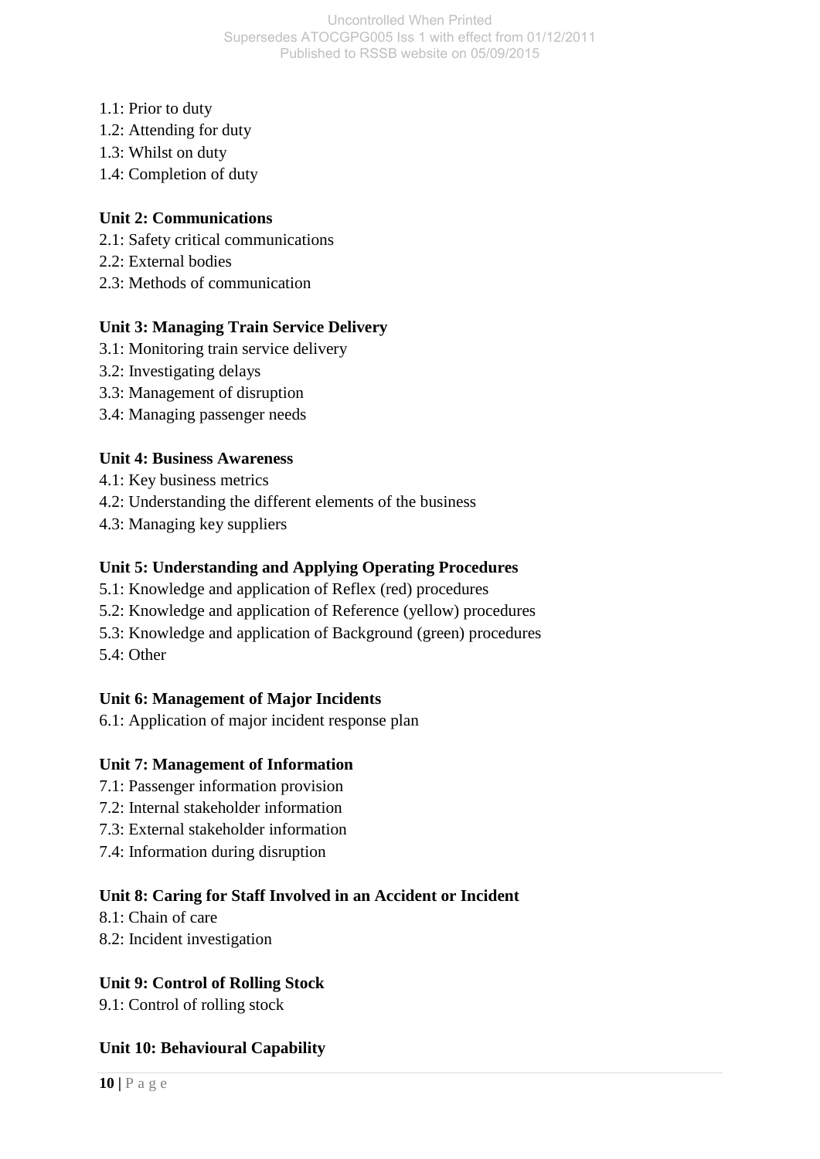- 1.1: Prior to duty
- 1.2: Attending for duty
- 1.3: Whilst on duty
- 1.4: Completion of duty

## **Unit 2: Communications**

- 2.1: Safety critical communications
- 2.2: External bodies
- 2.3: Methods of communication

## **Unit 3: Managing Train Service Delivery**

- 3.1: Monitoring train service delivery
- 3.2: Investigating delays
- 3.3: Management of disruption
- 3.4: Managing passenger needs

## **Unit 4: Business Awareness**

- 4.1: Key business metrics
- 4.2: Understanding the different elements of the business
- 4.3: Managing key suppliers

## **Unit 5: Understanding and Applying Operating Procedures**

- 5.1: Knowledge and application of Reflex (red) procedures
- 5.2: Knowledge and application of Reference (yellow) procedures
- 5.3: Knowledge and application of Background (green) procedures
- 5.4: Other

#### **Unit 6: Management of Major Incidents**

6.1: Application of major incident response plan

## **Unit 7: Management of Information**

- 7.1: Passenger information provision
- 7.2: Internal stakeholder information
- 7.3: External stakeholder information
- 7.4: Information during disruption

## **Unit 8: Caring for Staff Involved in an Accident or Incident**

- 8.1: Chain of care
- 8.2: Incident investigation

#### **Unit 9: Control of Rolling Stock**

9.1: Control of rolling stock

#### **Unit 10: Behavioural Capability**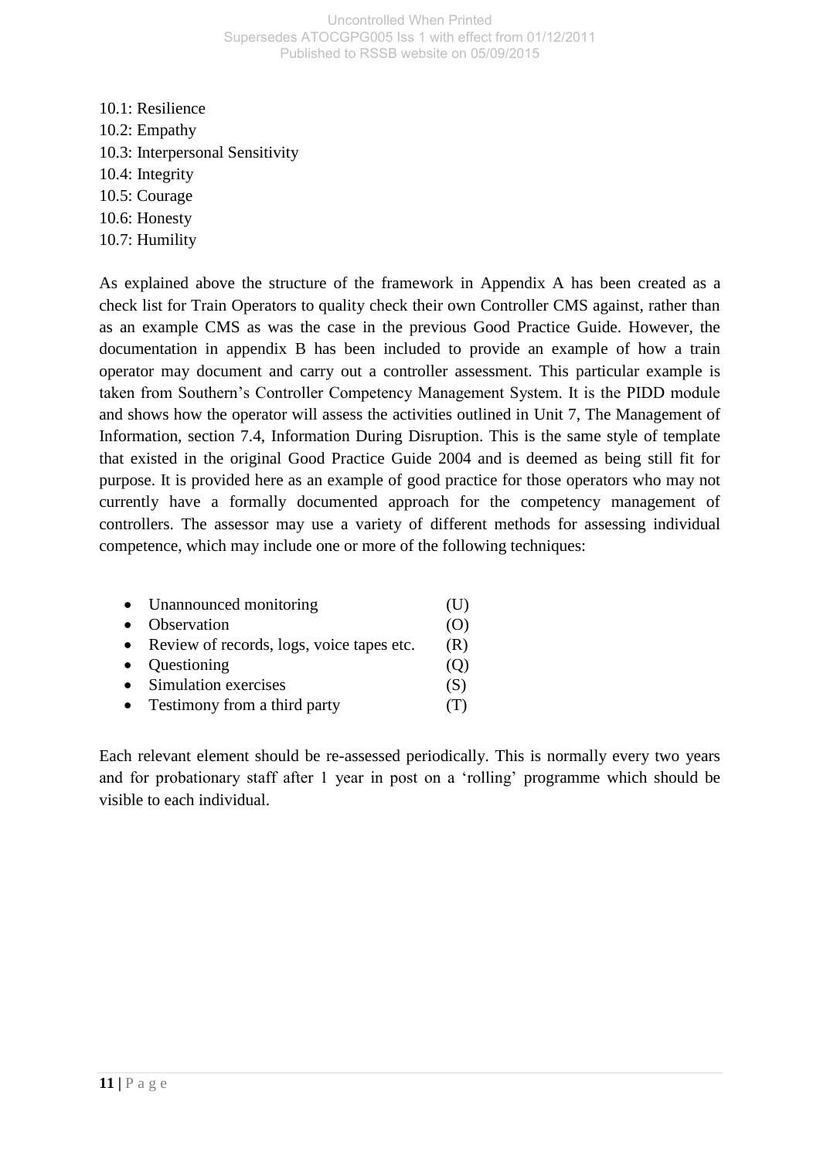10.1: Resilience 10.2: Empathy 10.3: Interpersonal Sensitivity 10.4: Integrity 10.5: Courage 10.6: Honesty 10.7: Humility

As explained above the structure of the framework in Appendix A has been created as a check list for Train Operators to quality check their own Controller CMS against, rather than as an example CMS as was the case in the previous Good Practice Guide. However, the documentation in appendix B has been included to provide an example of how a train operator may document and carry out a controller assessment. This particular example is taken from Southern's Controller Competency Management System. It is the PIDD module and shows how the operator will assess the activities outlined in Unit 7, The Management of Information, section 7.4, Information During Disruption. This is the same style of template that existed in the original Good Practice Guide 2004 and is deemed as being still fit for purpose. It is provided here as an example of good practice for those operators who may not currently have a formally documented approach for the competency management of controllers. The assessor may use a variety of different methods for assessing individual competence, which may include one or more of the following techniques:

|           | • Unannounced monitoring                    | (U    |
|-----------|---------------------------------------------|-------|
|           | Observation                                 |       |
|           | • Review of records, logs, voice tapes etc. | (R)   |
| $\bullet$ | Questioning                                 |       |
|           | Simulation exercises                        | (S)   |
|           | Testimony from a third party                | ( I - |
|           |                                             |       |

Each relevant element should be re-assessed periodically. This is normally every two years and for probationary staff after 1 year in post on a 'rolling' programme which should be visible to each individual.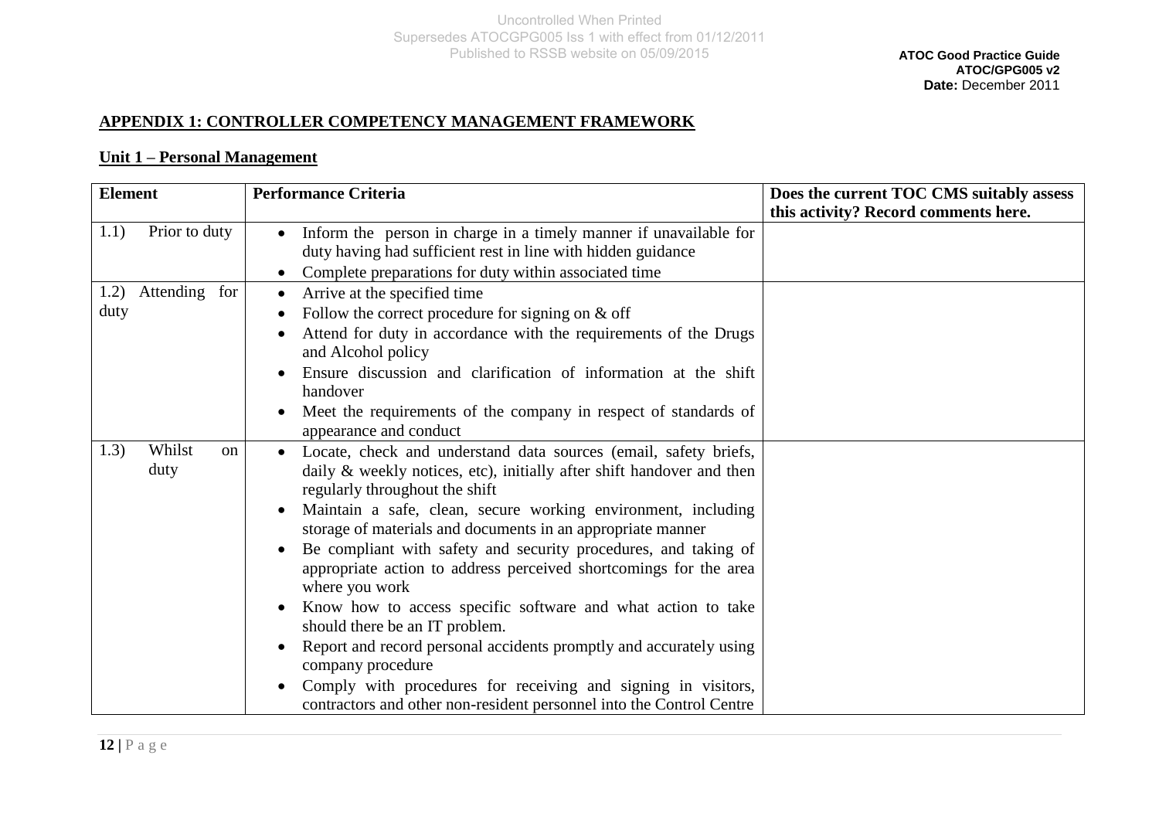## **APPENDIX 1: CONTROLLER COMPETENCY MANAGEMENT FRAMEWORK**

#### **Unit 1 – Personal Management**

| <b>Element</b>                          | <b>Performance Criteria</b>                                                                                                                                                                                                                                                                                                                                                                                                                                                                                                                                                                                                                                                                                                                                                                                              | Does the current TOC CMS suitably assess |
|-----------------------------------------|--------------------------------------------------------------------------------------------------------------------------------------------------------------------------------------------------------------------------------------------------------------------------------------------------------------------------------------------------------------------------------------------------------------------------------------------------------------------------------------------------------------------------------------------------------------------------------------------------------------------------------------------------------------------------------------------------------------------------------------------------------------------------------------------------------------------------|------------------------------------------|
|                                         |                                                                                                                                                                                                                                                                                                                                                                                                                                                                                                                                                                                                                                                                                                                                                                                                                          | this activity? Record comments here.     |
| Prior to duty<br>1.1)                   | Inform the person in charge in a timely manner if unavailable for<br>$\bullet$<br>duty having had sufficient rest in line with hidden guidance<br>Complete preparations for duty within associated time<br>$\bullet$                                                                                                                                                                                                                                                                                                                                                                                                                                                                                                                                                                                                     |                                          |
| Attending for<br>1.2)<br>duty           | Arrive at the specified time<br>$\bullet$<br>Follow the correct procedure for signing on $&$ off<br>Attend for duty in accordance with the requirements of the Drugs<br>and Alcohol policy<br>Ensure discussion and clarification of information at the shift<br>handover<br>Meet the requirements of the company in respect of standards of<br>$\bullet$<br>appearance and conduct                                                                                                                                                                                                                                                                                                                                                                                                                                      |                                          |
| Whilst<br>1.3)<br><sub>on</sub><br>duty | Locate, check and understand data sources (email, safety briefs,<br>daily & weekly notices, etc), initially after shift handover and then<br>regularly throughout the shift<br>Maintain a safe, clean, secure working environment, including<br>storage of materials and documents in an appropriate manner<br>Be compliant with safety and security procedures, and taking of<br>appropriate action to address perceived shortcomings for the area<br>where you work<br>Know how to access specific software and what action to take<br>$\bullet$<br>should there be an IT problem.<br>Report and record personal accidents promptly and accurately using<br>company procedure<br>Comply with procedures for receiving and signing in visitors,<br>contractors and other non-resident personnel into the Control Centre |                                          |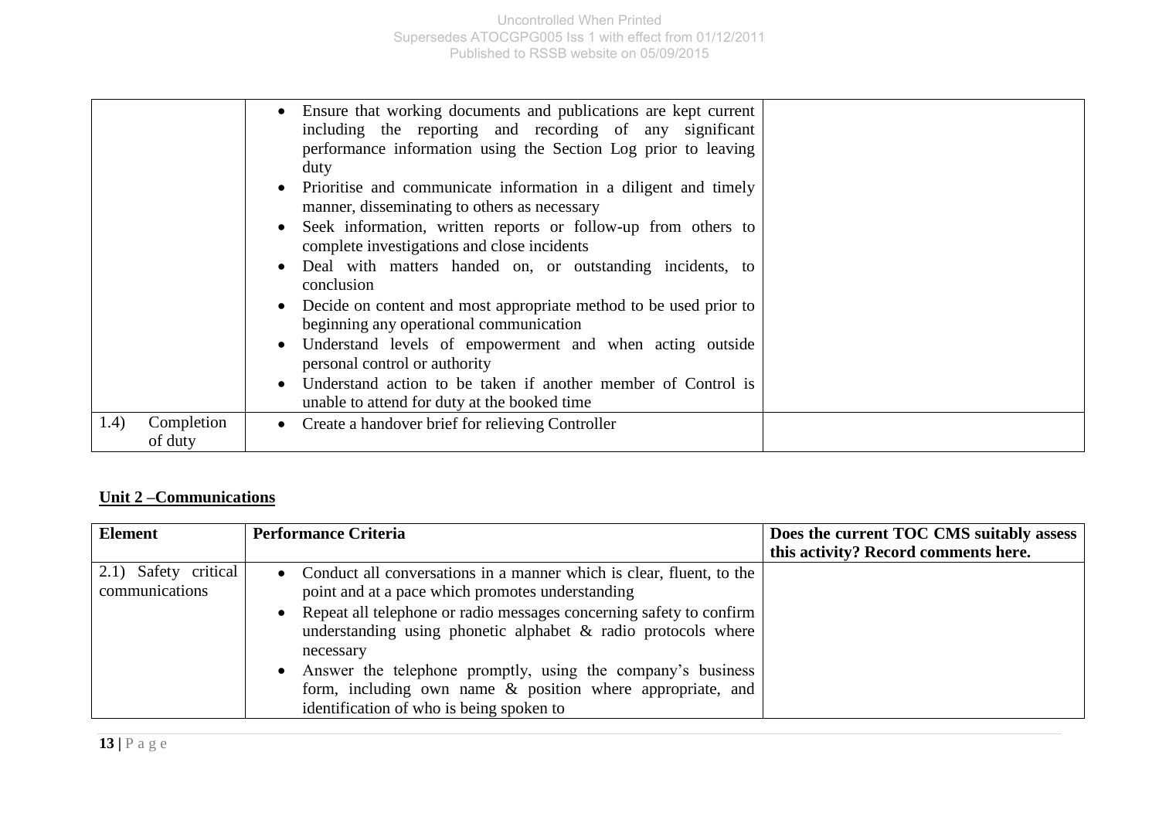|                                | • Ensure that working documents and publications are kept current<br>including the reporting and recording of any significant<br>performance information using the Section Log prior to leaving<br>duty<br>Prioritise and communicate information in a diligent and timely<br>manner, disseminating to others as necessary<br>Seek information, written reports or follow-up from others to<br>complete investigations and close incidents<br>Deal with matters handed on, or outstanding incidents, to<br>conclusion<br>Decide on content and most appropriate method to be used prior to<br>beginning any operational communication<br>Understand levels of empowerment and when acting outside<br>personal control or authority<br>Understand action to be taken if another member of Control is<br>unable to attend for duty at the booked time |  |
|--------------------------------|-----------------------------------------------------------------------------------------------------------------------------------------------------------------------------------------------------------------------------------------------------------------------------------------------------------------------------------------------------------------------------------------------------------------------------------------------------------------------------------------------------------------------------------------------------------------------------------------------------------------------------------------------------------------------------------------------------------------------------------------------------------------------------------------------------------------------------------------------------|--|
| (1.4)<br>Completion<br>of duty | • Create a handover brief for relieving Controller                                                                                                                                                                                                                                                                                                                                                                                                                                                                                                                                                                                                                                                                                                                                                                                                  |  |

## **Unit 2 –Communications**

| <b>Element</b>                           | <b>Performance Criteria</b>                                                                                                                                                                                                                                                                                                                                                                                                                                           | Does the current TOC CMS suitably assess<br>this activity? Record comments here. |
|------------------------------------------|-----------------------------------------------------------------------------------------------------------------------------------------------------------------------------------------------------------------------------------------------------------------------------------------------------------------------------------------------------------------------------------------------------------------------------------------------------------------------|----------------------------------------------------------------------------------|
| $2.1)$ Safety critical<br>communications | • Conduct all conversations in a manner which is clear, fluent, to the<br>point and at a pace which promotes understanding<br>Repeat all telephone or radio messages concerning safety to confirm<br>understanding using phonetic alphabet & radio protocols where<br>necessary<br>Answer the telephone promptly, using the company's business<br>$\bullet$<br>form, including own name & position where appropriate, and<br>identification of who is being spoken to |                                                                                  |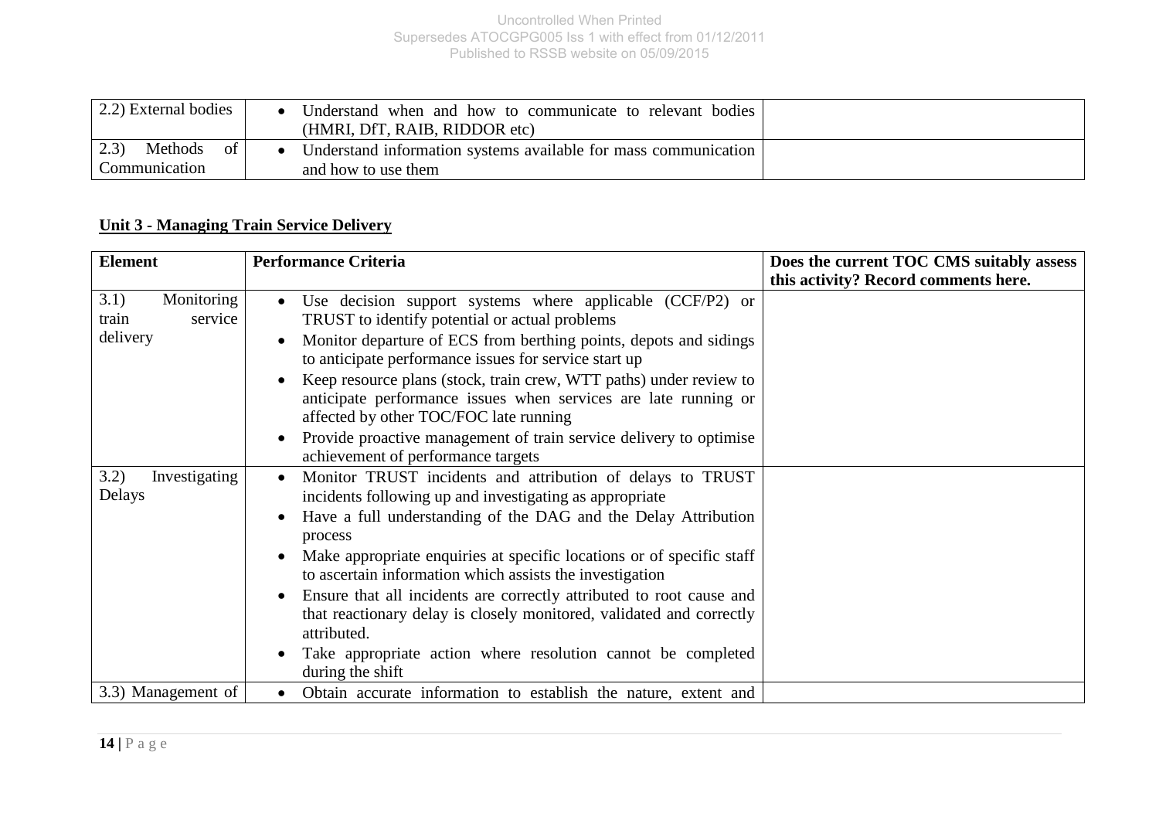| 2.2) External bodies                 | Understand when and how to communicate to relevant bodies<br>(HMRI, DfT, RAIB, RIDDOR etc) |  |
|--------------------------------------|--------------------------------------------------------------------------------------------|--|
| 23<br>Methods<br>of<br>Communication | Understand information systems available for mass communication<br>and how to use them     |  |

## **Unit 3 - Managing Train Service Delivery**

| <b>Element</b>                                     | <b>Performance Criteria</b>                                                                                                                                                                                                                                                                                                                                                                                                                                                                                                                                                                                          | Does the current TOC CMS suitably assess |
|----------------------------------------------------|----------------------------------------------------------------------------------------------------------------------------------------------------------------------------------------------------------------------------------------------------------------------------------------------------------------------------------------------------------------------------------------------------------------------------------------------------------------------------------------------------------------------------------------------------------------------------------------------------------------------|------------------------------------------|
|                                                    |                                                                                                                                                                                                                                                                                                                                                                                                                                                                                                                                                                                                                      | this activity? Record comments here.     |
| Monitoring<br>3.1)<br>service<br>train<br>delivery | Use decision support systems where applicable (CCF/P2) or<br>TRUST to identify potential or actual problems<br>Monitor departure of ECS from berthing points, depots and sidings<br>to anticipate performance issues for service start up<br>Keep resource plans (stock, train crew, WTT paths) under review to<br>anticipate performance issues when services are late running or<br>affected by other TOC/FOC late running<br>Provide proactive management of train service delivery to optimise<br>achievement of performance targets                                                                             |                                          |
| 3.2)<br>Investigating<br>Delays                    | Monitor TRUST incidents and attribution of delays to TRUST<br>incidents following up and investigating as appropriate<br>Have a full understanding of the DAG and the Delay Attribution<br>$\bullet$<br>process<br>Make appropriate enquiries at specific locations or of specific staff<br>$\bullet$<br>to ascertain information which assists the investigation<br>Ensure that all incidents are correctly attributed to root cause and<br>that reactionary delay is closely monitored, validated and correctly<br>attributed.<br>Take appropriate action where resolution cannot be completed<br>during the shift |                                          |
| 3.3) Management of                                 | Obtain accurate information to establish the nature, extent and                                                                                                                                                                                                                                                                                                                                                                                                                                                                                                                                                      |                                          |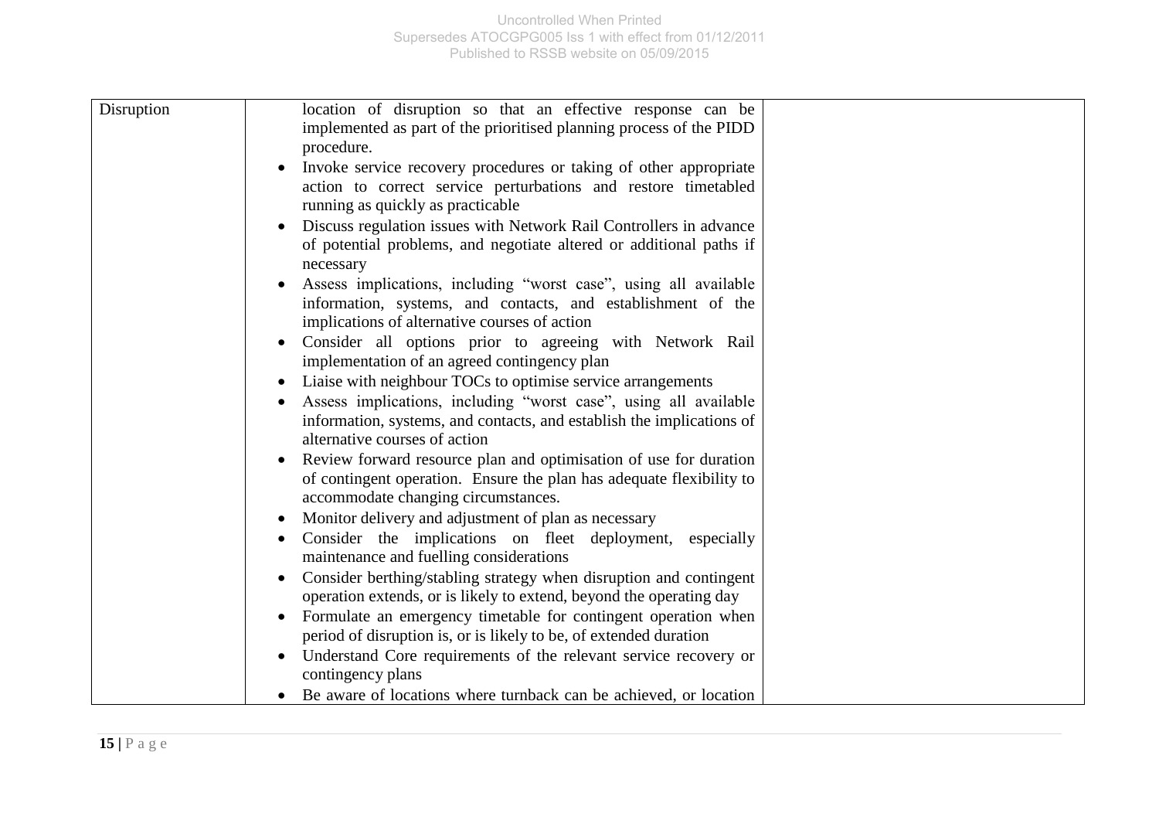| Disruption | location of disruption so that an effective response can be<br>implemented as part of the prioritised planning process of the PIDD        |  |
|------------|-------------------------------------------------------------------------------------------------------------------------------------------|--|
|            | procedure.                                                                                                                                |  |
|            | Invoke service recovery procedures or taking of other appropriate                                                                         |  |
|            | action to correct service perturbations and restore timetabled<br>running as quickly as practicable                                       |  |
|            | Discuss regulation issues with Network Rail Controllers in advance<br>of potential problems, and negotiate altered or additional paths if |  |
|            | necessary                                                                                                                                 |  |
|            | Assess implications, including "worst case", using all available                                                                          |  |
|            | information, systems, and contacts, and establishment of the<br>implications of alternative courses of action                             |  |
|            | Consider all options prior to agreeing with Network Rail<br>implementation of an agreed contingency plan                                  |  |
|            | Liaise with neighbour TOCs to optimise service arrangements                                                                               |  |
|            | Assess implications, including "worst case", using all available                                                                          |  |
|            | information, systems, and contacts, and establish the implications of                                                                     |  |
|            | alternative courses of action                                                                                                             |  |
|            | Review forward resource plan and optimisation of use for duration<br>$\bullet$                                                            |  |
|            | of contingent operation. Ensure the plan has adequate flexibility to                                                                      |  |
|            | accommodate changing circumstances.                                                                                                       |  |
|            | Monitor delivery and adjustment of plan as necessary                                                                                      |  |
|            | Consider the implications on fleet deployment, especially<br>maintenance and fuelling considerations                                      |  |
|            | Consider berthing/stabling strategy when disruption and contingent<br>$\bullet$                                                           |  |
|            | operation extends, or is likely to extend, beyond the operating day                                                                       |  |
|            | Formulate an emergency timetable for contingent operation when<br>$\bullet$                                                               |  |
|            | period of disruption is, or is likely to be, of extended duration                                                                         |  |
|            | Understand Core requirements of the relevant service recovery or                                                                          |  |
|            | contingency plans                                                                                                                         |  |
|            | Be aware of locations where turnback can be achieved, or location                                                                         |  |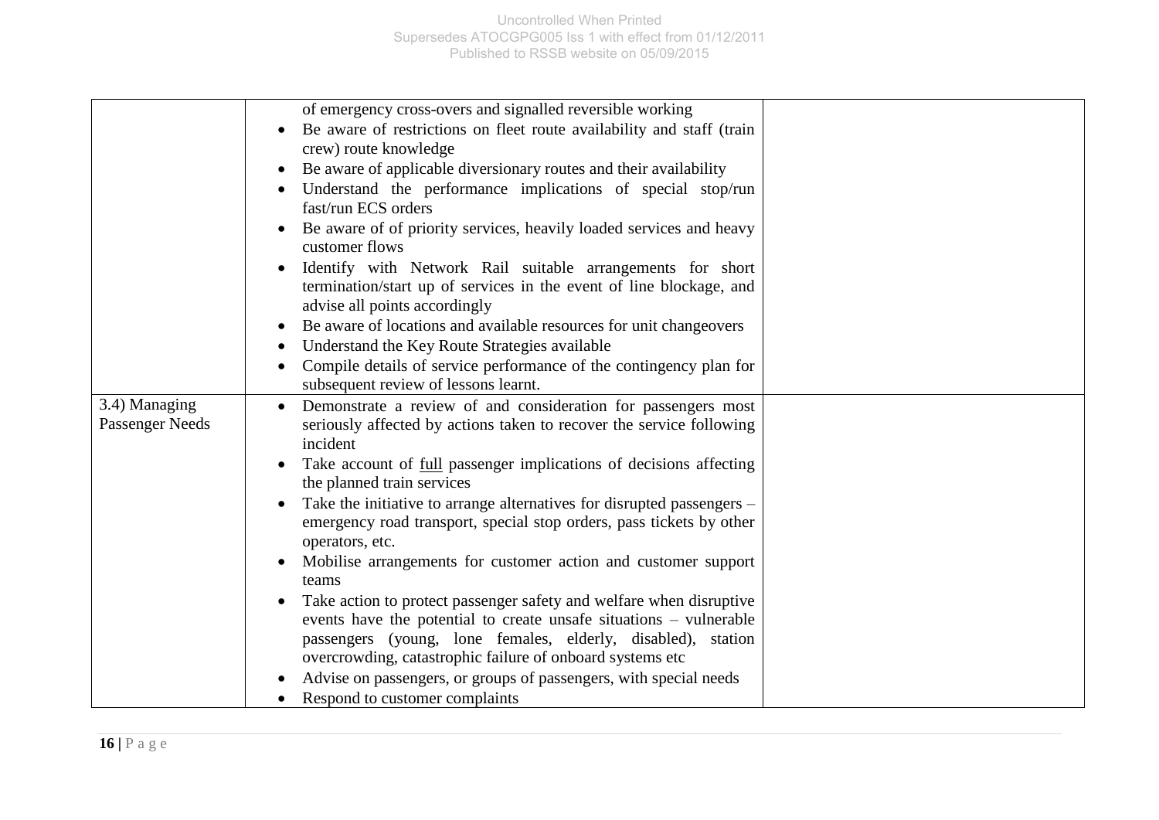|                 | of emergency cross-overs and signalled reversible working                           |  |
|-----------------|-------------------------------------------------------------------------------------|--|
|                 | Be aware of restrictions on fleet route availability and staff (train               |  |
|                 | crew) route knowledge                                                               |  |
|                 | Be aware of applicable diversionary routes and their availability                   |  |
|                 | Understand the performance implications of special stop/run                         |  |
|                 | fast/run ECS orders                                                                 |  |
|                 | Be aware of of priority services, heavily loaded services and heavy<br>$\bullet$    |  |
|                 | customer flows                                                                      |  |
|                 | Identify with Network Rail suitable arrangements for short                          |  |
|                 | termination/start up of services in the event of line blockage, and                 |  |
|                 | advise all points accordingly                                                       |  |
|                 | Be aware of locations and available resources for unit changeovers                  |  |
|                 | Understand the Key Route Strategies available                                       |  |
|                 | Compile details of service performance of the contingency plan for                  |  |
|                 | subsequent review of lessons learnt.                                                |  |
| 3.4) Managing   | Demonstrate a review of and consideration for passengers most                       |  |
| Passenger Needs | seriously affected by actions taken to recover the service following                |  |
|                 | incident                                                                            |  |
|                 | Take account of <u>full</u> passenger implications of decisions affecting           |  |
|                 | the planned train services                                                          |  |
|                 | Take the initiative to arrange alternatives for disrupted passengers –<br>$\bullet$ |  |
|                 | emergency road transport, special stop orders, pass tickets by other                |  |
|                 | operators, etc.                                                                     |  |
|                 | Mobilise arrangements for customer action and customer support                      |  |
|                 | teams                                                                               |  |
|                 | Take action to protect passenger safety and welfare when disruptive                 |  |
|                 | events have the potential to create unsafe situations – vulnerable                  |  |
|                 | passengers (young, lone females, elderly, disabled),<br>station                     |  |
|                 | overcrowding, catastrophic failure of onboard systems etc                           |  |
|                 | Advise on passengers, or groups of passengers, with special needs                   |  |
|                 | Respond to customer complaints                                                      |  |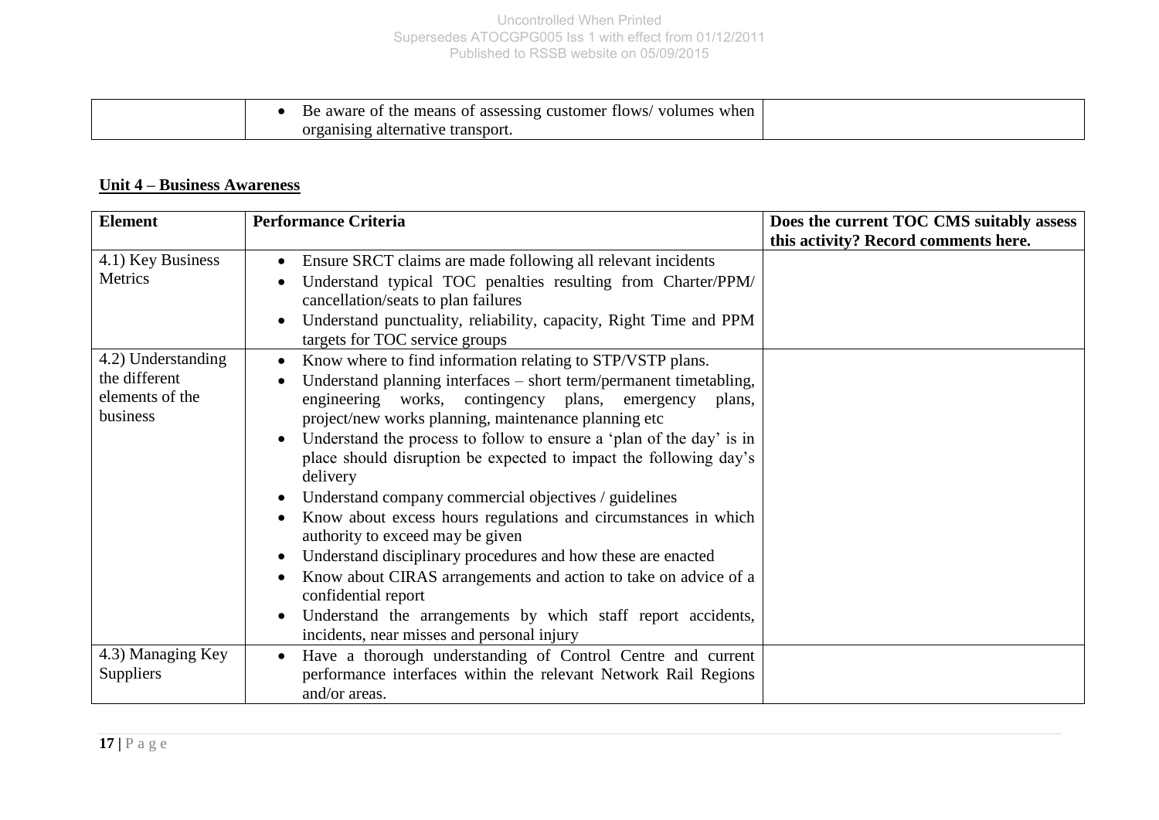| Be aware of the means of assessing customer flows<br>volumes when |  |
|-------------------------------------------------------------------|--|
| organising alternative transport.                                 |  |

## **Unit 4 – Business Awareness**

| <b>Element</b>                                                     | <b>Performance Criteria</b>                                                                                                                                                                                                                                                                                                                                                                                                                                                                                                                                                                                                                                                                                                                                                                                                                                                  | Does the current TOC CMS suitably assess |
|--------------------------------------------------------------------|------------------------------------------------------------------------------------------------------------------------------------------------------------------------------------------------------------------------------------------------------------------------------------------------------------------------------------------------------------------------------------------------------------------------------------------------------------------------------------------------------------------------------------------------------------------------------------------------------------------------------------------------------------------------------------------------------------------------------------------------------------------------------------------------------------------------------------------------------------------------------|------------------------------------------|
| 4.1) Key Business<br>Metrics                                       | Ensure SRCT claims are made following all relevant incidents<br>$\bullet$<br>Understand typical TOC penalties resulting from Charter/PPM/<br>cancellation/seats to plan failures<br>Understand punctuality, reliability, capacity, Right Time and PPM<br>targets for TOC service groups                                                                                                                                                                                                                                                                                                                                                                                                                                                                                                                                                                                      | this activity? Record comments here.     |
| 4.2) Understanding<br>the different<br>elements of the<br>business | Know where to find information relating to STP/VSTP plans.<br>Understand planning interfaces – short term/permanent timetabling,<br>engineering works, contingency plans, emergency plans,<br>project/new works planning, maintenance planning etc<br>Understand the process to follow to ensure a 'plan of the day' is in<br>place should disruption be expected to impact the following day's<br>delivery<br>Understand company commercial objectives / guidelines<br>$\bullet$<br>Know about excess hours regulations and circumstances in which<br>authority to exceed may be given<br>Understand disciplinary procedures and how these are enacted<br>Know about CIRAS arrangements and action to take on advice of a<br>confidential report<br>Understand the arrangements by which staff report accidents,<br>$\bullet$<br>incidents, near misses and personal injury |                                          |
| 4.3) Managing Key<br>Suppliers                                     | Have a thorough understanding of Control Centre and current<br>$\bullet$<br>performance interfaces within the relevant Network Rail Regions<br>and/or areas.                                                                                                                                                                                                                                                                                                                                                                                                                                                                                                                                                                                                                                                                                                                 |                                          |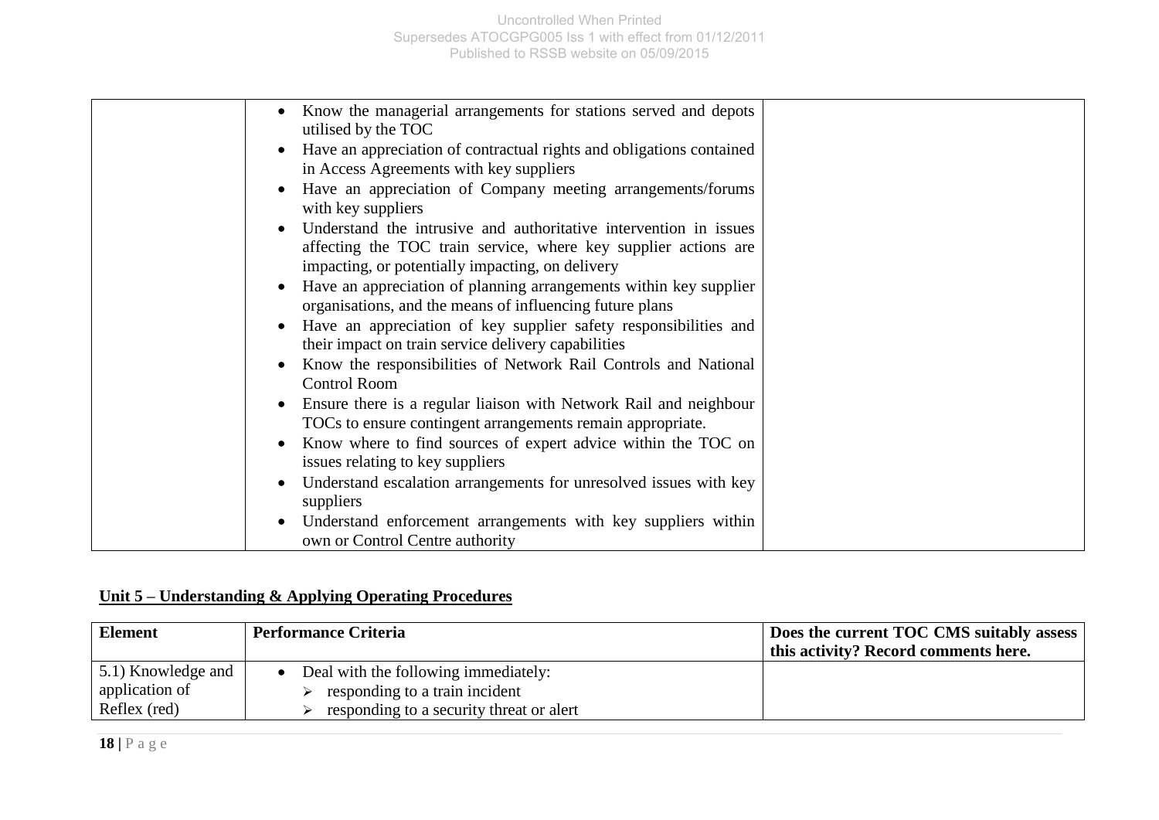| Know the managerial arrangements for stations served and depots<br>utilised by the TOC                                                                                                   |  |
|------------------------------------------------------------------------------------------------------------------------------------------------------------------------------------------|--|
| Have an appreciation of contractual rights and obligations contained<br>in Access Agreements with key suppliers                                                                          |  |
| Have an appreciation of Company meeting arrangements/forums<br>with key suppliers                                                                                                        |  |
| Understand the intrusive and authoritative intervention in issues<br>affecting the TOC train service, where key supplier actions are<br>impacting, or potentially impacting, on delivery |  |
| Have an appreciation of planning arrangements within key supplier<br>organisations, and the means of influencing future plans                                                            |  |
| Have an appreciation of key supplier safety responsibilities and<br>their impact on train service delivery capabilities                                                                  |  |
| Know the responsibilities of Network Rail Controls and National<br><b>Control Room</b>                                                                                                   |  |
| Ensure there is a regular liaison with Network Rail and neighbour<br>TOCs to ensure contingent arrangements remain appropriate.                                                          |  |
| Know where to find sources of expert advice within the TOC on<br>issues relating to key suppliers                                                                                        |  |
| Understand escalation arrangements for unresolved issues with key<br>suppliers                                                                                                           |  |
| Understand enforcement arrangements with key suppliers within<br>own or Control Centre authority                                                                                         |  |

## **Unit 5 – Understanding & Applying Operating Procedures**

| Element            | <b>Performance Criteria</b>               | Does the current TOC CMS suitably assess |
|--------------------|-------------------------------------------|------------------------------------------|
|                    |                                           | this activity? Record comments here.     |
| 5.1) Knowledge and | Deal with the following immediately:      |                                          |
| application of     | responding to a train incident            |                                          |
| Reflex (red)       | responding to a security threat or a lert |                                          |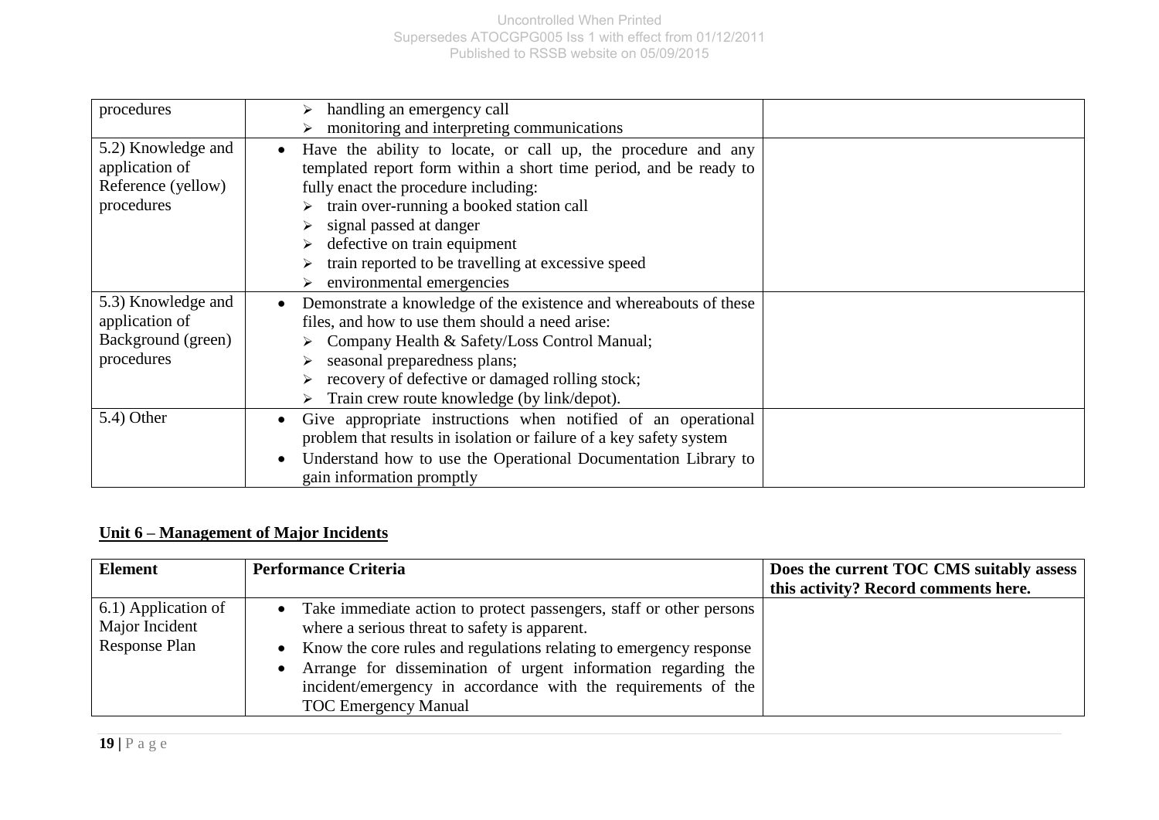| procedures                                                               | handling an emergency call<br>monitoring and interpreting communications                                                                                                                                                                                                                                                                                                          |  |
|--------------------------------------------------------------------------|-----------------------------------------------------------------------------------------------------------------------------------------------------------------------------------------------------------------------------------------------------------------------------------------------------------------------------------------------------------------------------------|--|
| 5.2) Knowledge and<br>application of<br>Reference (yellow)<br>procedures | Have the ability to locate, or call up, the procedure and any<br>$\bullet$<br>templated report form within a short time period, and be ready to<br>fully enact the procedure including:<br>train over-running a booked station call<br>signal passed at danger<br>defective on train equipment<br>train reported to be travelling at excessive speed<br>environmental emergencies |  |
| 5.3) Knowledge and<br>application of<br>Background (green)<br>procedures | Demonstrate a knowledge of the existence and whereabouts of these<br>$\bullet$<br>files, and how to use them should a need arise:<br>Company Health & Safety/Loss Control Manual;<br>seasonal preparedness plans;<br>recovery of defective or damaged rolling stock;<br>$\triangleright$ Train crew route knowledge (by link/depot).                                              |  |
| 5.4) Other                                                               | Give appropriate instructions when notified of an operational<br>$\bullet$<br>problem that results in isolation or failure of a key safety system<br>Understand how to use the Operational Documentation Library to<br>$\bullet$<br>gain information promptly                                                                                                                     |  |

## **Unit 6 – Management of Major Incidents**

| <b>Element</b>                                         | <b>Performance Criteria</b>                                                                                                                                                                                                                                                                                                                                       | Does the current TOC CMS suitably assess |
|--------------------------------------------------------|-------------------------------------------------------------------------------------------------------------------------------------------------------------------------------------------------------------------------------------------------------------------------------------------------------------------------------------------------------------------|------------------------------------------|
|                                                        |                                                                                                                                                                                                                                                                                                                                                                   | this activity? Record comments here.     |
| 6.1) Application of<br>Major Incident<br>Response Plan | • Take immediate action to protect passengers, staff or other persons<br>where a serious threat to safety is apparent.<br>• Know the core rules and regulations relating to emergency response<br>• Arrange for dissemination of urgent information regarding the<br>incident/emergency in accordance with the requirements of the<br><b>TOC</b> Emergency Manual |                                          |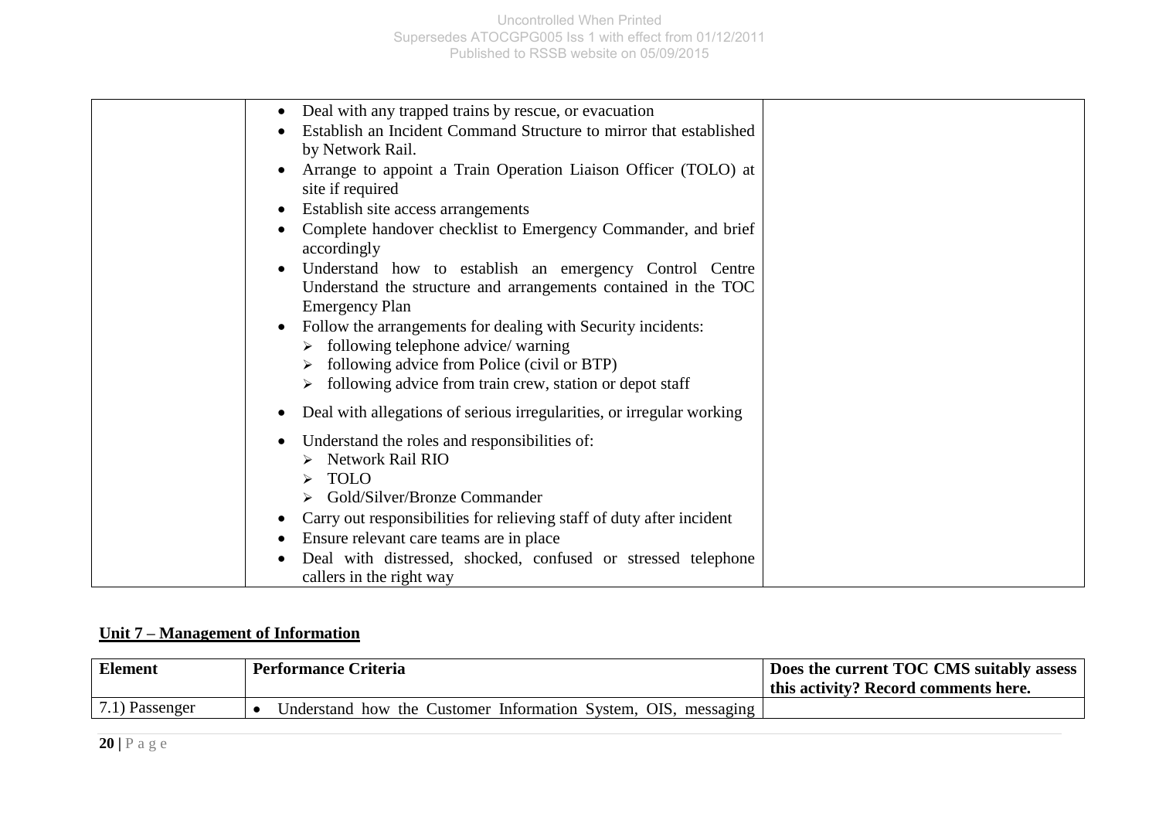| Deal with any trapped trains by rescue, or evacuation<br>Establish an Incident Command Structure to mirror that established<br>by Network Rail.<br>Arrange to appoint a Train Operation Liaison Officer (TOLO) at<br>site if required<br>Establish site access arrangements                                                                                                                                                                          |  |
|------------------------------------------------------------------------------------------------------------------------------------------------------------------------------------------------------------------------------------------------------------------------------------------------------------------------------------------------------------------------------------------------------------------------------------------------------|--|
| Complete handover checklist to Emergency Commander, and brief<br>accordingly<br>Understand how to establish an emergency Control Centre<br>Understand the structure and arrangements contained in the TOC<br><b>Emergency Plan</b><br>Follow the arrangements for dealing with Security incidents:<br>following telephone advice/ warning<br>following advice from Police (civil or BTP)<br>following advice from train crew, station or depot staff |  |
| Deal with allegations of serious irregularities, or irregular working<br>Understand the roles and responsibilities of:<br><b>Network Rail RIO</b><br><b>TOLO</b><br>Gold/Silver/Bronze Commander<br>Carry out responsibilities for relieving staff of duty after incident<br>Ensure relevant care teams are in place<br>Deal with distressed, shocked, confused or stressed telephone<br>callers in the right way                                    |  |

## **Unit 7 – Management of Information**

| Element           | <b>Performance Criteria</b>                                    | Does the current TOC CMS suitably assess |
|-------------------|----------------------------------------------------------------|------------------------------------------|
|                   |                                                                | this activity? Record comments here.     |
| $(7.1)$ Passenger | Understand how the Customer Information System, OIS, messaging |                                          |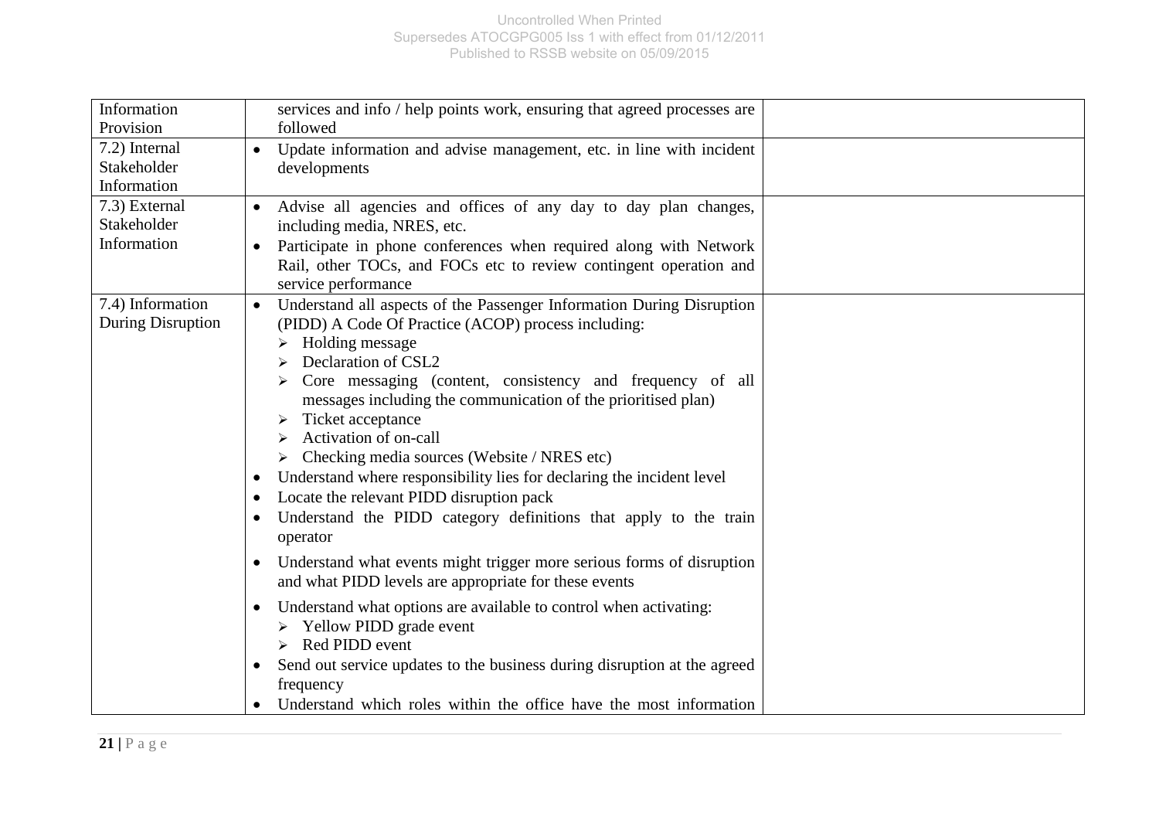| Information       | services and info / help points work, ensuring that agreed processes are                                                       |  |
|-------------------|--------------------------------------------------------------------------------------------------------------------------------|--|
| Provision         | followed                                                                                                                       |  |
| 7.2) Internal     | Update information and advise management, etc. in line with incident                                                           |  |
| Stakeholder       | developments                                                                                                                   |  |
| Information       |                                                                                                                                |  |
| 7.3) External     | Advise all agencies and offices of any day to day plan changes,                                                                |  |
| Stakeholder       | including media, NRES, etc.                                                                                                    |  |
| Information       | Participate in phone conferences when required along with Network                                                              |  |
|                   | Rail, other TOCs, and FOCs etc to review contingent operation and<br>service performance                                       |  |
| 7.4) Information  | Understand all aspects of the Passenger Information During Disruption                                                          |  |
| During Disruption | (PIDD) A Code Of Practice (ACOP) process including:                                                                            |  |
|                   | Holding message                                                                                                                |  |
|                   | Declaration of CSL2                                                                                                            |  |
|                   | Core messaging (content, consistency and frequency of all                                                                      |  |
|                   | messages including the communication of the prioritised plan)                                                                  |  |
|                   | Ticket acceptance                                                                                                              |  |
|                   | Activation of on-call                                                                                                          |  |
|                   | Checking media sources (Website / NRES etc)                                                                                    |  |
|                   | Understand where responsibility lies for declaring the incident level                                                          |  |
|                   | Locate the relevant PIDD disruption pack<br>$\bullet$                                                                          |  |
|                   | Understand the PIDD category definitions that apply to the train<br>operator                                                   |  |
|                   | Understand what events might trigger more serious forms of disruption<br>and what PIDD levels are appropriate for these events |  |
|                   | Understand what options are available to control when activating:<br>Yellow PIDD grade event                                   |  |
|                   | Red PIDD event                                                                                                                 |  |
|                   | Send out service updates to the business during disruption at the agreed<br>frequency                                          |  |
|                   | Understand which roles within the office have the most information                                                             |  |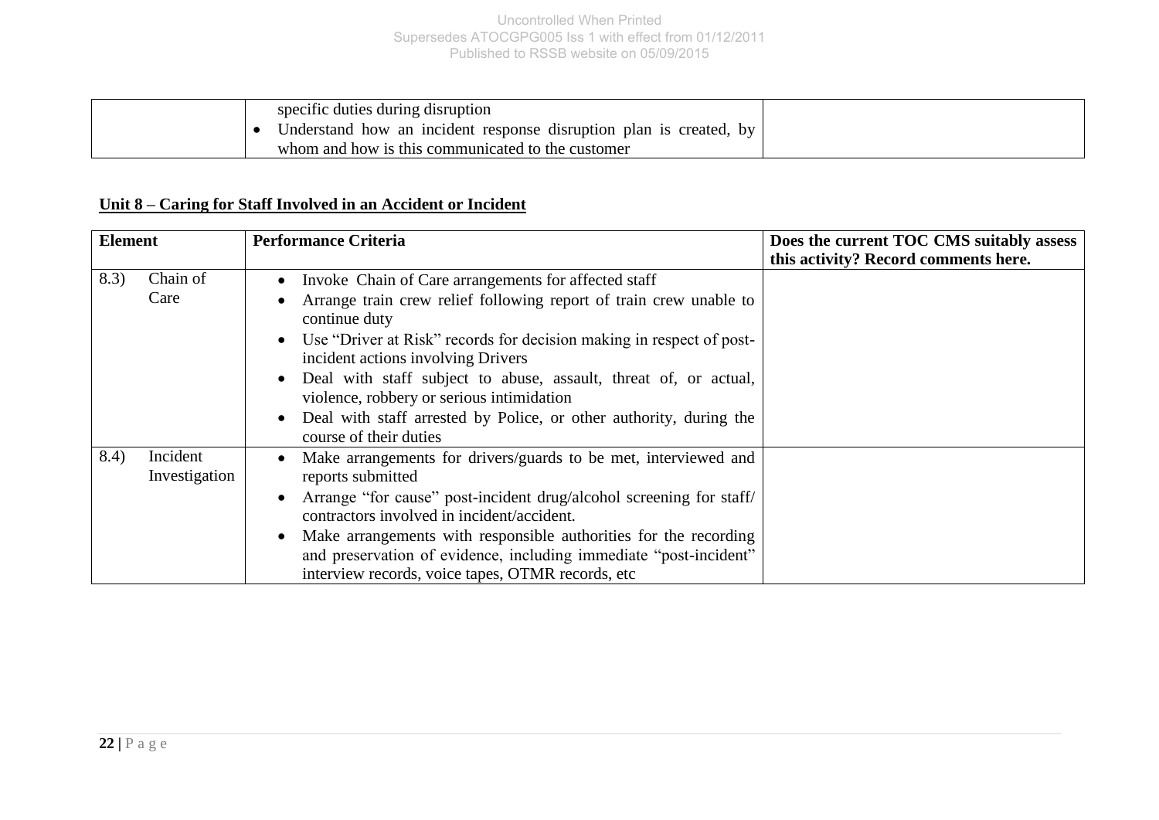| specific duties during disruption                                             |  |
|-------------------------------------------------------------------------------|--|
| Understand how an incident response disruption plan is created,<br><b>b</b> V |  |
| whom and how is this communicated to the customer                             |  |

## **Unit 8 – Caring for Staff Involved in an Accident or Incident**

| <b>Element</b> |                           | <b>Performance Criteria</b>                                                                                                                                                                                                                                                                                                                                                                                                                                                                                         | Does the current TOC CMS suitably assess |  |
|----------------|---------------------------|---------------------------------------------------------------------------------------------------------------------------------------------------------------------------------------------------------------------------------------------------------------------------------------------------------------------------------------------------------------------------------------------------------------------------------------------------------------------------------------------------------------------|------------------------------------------|--|
|                |                           |                                                                                                                                                                                                                                                                                                                                                                                                                                                                                                                     | this activity? Record comments here.     |  |
| 8.3)           | Chain of<br>Care          | • Invoke Chain of Care arrangements for affected staff<br>Arrange train crew relief following report of train crew unable to<br>continue duty<br>Use "Driver at Risk" records for decision making in respect of post-<br>$\bullet$<br>incident actions involving Drivers<br>Deal with staff subject to abuse, assault, threat of, or actual,<br>$\bullet$<br>violence, robbery or serious intimidation<br>Deal with staff arrested by Police, or other authority, during the<br>$\bullet$<br>course of their duties |                                          |  |
| 8.4)           | Incident<br>Investigation | Make arrangements for drivers/guards to be met, interviewed and<br>$\bullet$<br>reports submitted<br>Arrange "for cause" post-incident drug/alcohol screening for staff/<br>$\bullet$<br>contractors involved in incident/accident.<br>Make arrangements with responsible authorities for the recording<br>$\bullet$<br>and preservation of evidence, including immediate "post-incident"<br>interview records, voice tapes, OTMR records, etc.                                                                     |                                          |  |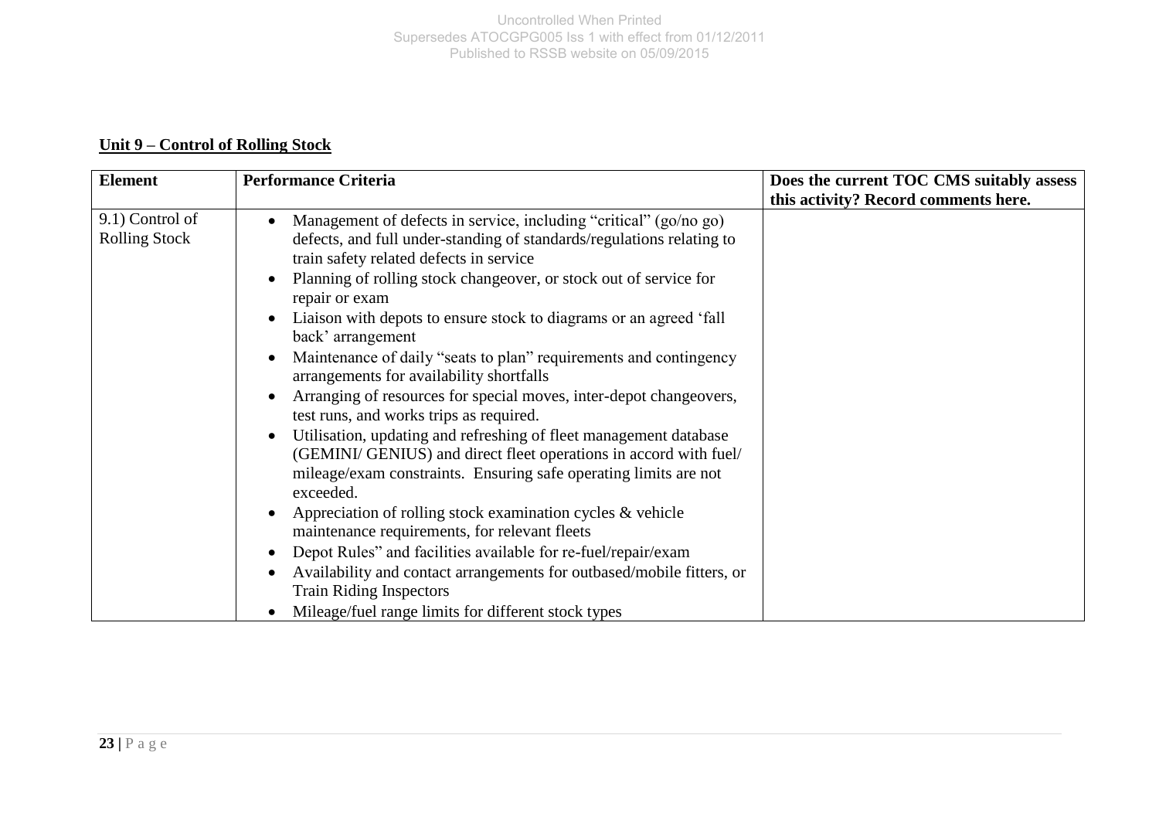## **Unit 9 – Control of Rolling Stock**

| <b>Element</b>                          | <b>Performance Criteria</b>                                                                                                                                                                                                          | Does the current TOC CMS suitably assess |
|-----------------------------------------|--------------------------------------------------------------------------------------------------------------------------------------------------------------------------------------------------------------------------------------|------------------------------------------|
|                                         |                                                                                                                                                                                                                                      | this activity? Record comments here.     |
| 9.1) Control of<br><b>Rolling Stock</b> | Management of defects in service, including "critical" (go/no go)<br>defects, and full under-standing of standards/regulations relating to<br>train safety related defects in service                                                |                                          |
|                                         | Planning of rolling stock changeover, or stock out of service for<br>$\bullet$<br>repair or exam                                                                                                                                     |                                          |
|                                         | Liaison with depots to ensure stock to diagrams or an agreed 'fall<br>back' arrangement                                                                                                                                              |                                          |
|                                         | Maintenance of daily "seats to plan" requirements and contingency<br>$\bullet$<br>arrangements for availability shortfalls                                                                                                           |                                          |
|                                         | Arranging of resources for special moves, inter-depot changeovers,<br>test runs, and works trips as required.                                                                                                                        |                                          |
|                                         | Utilisation, updating and refreshing of fleet management database<br>$\bullet$<br>(GEMINI/ GENIUS) and direct fleet operations in accord with fuel/<br>mileage/exam constraints. Ensuring safe operating limits are not<br>exceeded. |                                          |
|                                         | Appreciation of rolling stock examination cycles $\&$ vehicle<br>maintenance requirements, for relevant fleets                                                                                                                       |                                          |
|                                         | Depot Rules" and facilities available for re-fuel/repair/exam<br>$\bullet$                                                                                                                                                           |                                          |
|                                         | Availability and contact arrangements for outbased/mobile fitters, or<br><b>Train Riding Inspectors</b>                                                                                                                              |                                          |
|                                         | Mileage/fuel range limits for different stock types                                                                                                                                                                                  |                                          |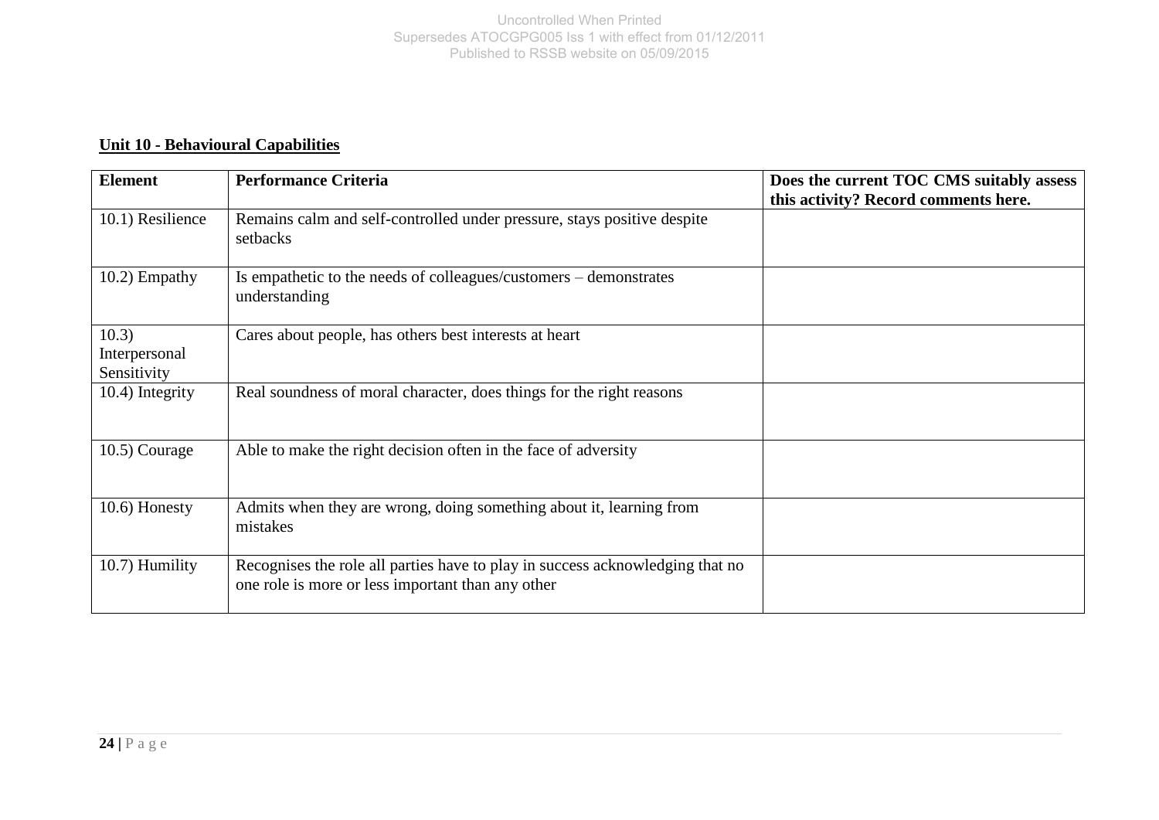## **Unit 10 - Behavioural Capabilities**

| <b>Element</b>                        | <b>Performance Criteria</b>                                                                                                        | Does the current TOC CMS suitably assess<br>this activity? Record comments here. |
|---------------------------------------|------------------------------------------------------------------------------------------------------------------------------------|----------------------------------------------------------------------------------|
| 10.1) Resilience                      | Remains calm and self-controlled under pressure, stays positive despite<br>setbacks                                                |                                                                                  |
| 10.2) Empathy                         | Is empathetic to the needs of colleagues/customers – demonstrates<br>understanding                                                 |                                                                                  |
| 10.3)<br>Interpersonal<br>Sensitivity | Cares about people, has others best interests at heart                                                                             |                                                                                  |
| 10.4) Integrity                       | Real soundness of moral character, does things for the right reasons                                                               |                                                                                  |
| $10.5)$ Courage                       | Able to make the right decision often in the face of adversity                                                                     |                                                                                  |
| 10.6) Honesty                         | Admits when they are wrong, doing something about it, learning from<br>mistakes                                                    |                                                                                  |
| 10.7) Humility                        | Recognises the role all parties have to play in success acknowledging that no<br>one role is more or less important than any other |                                                                                  |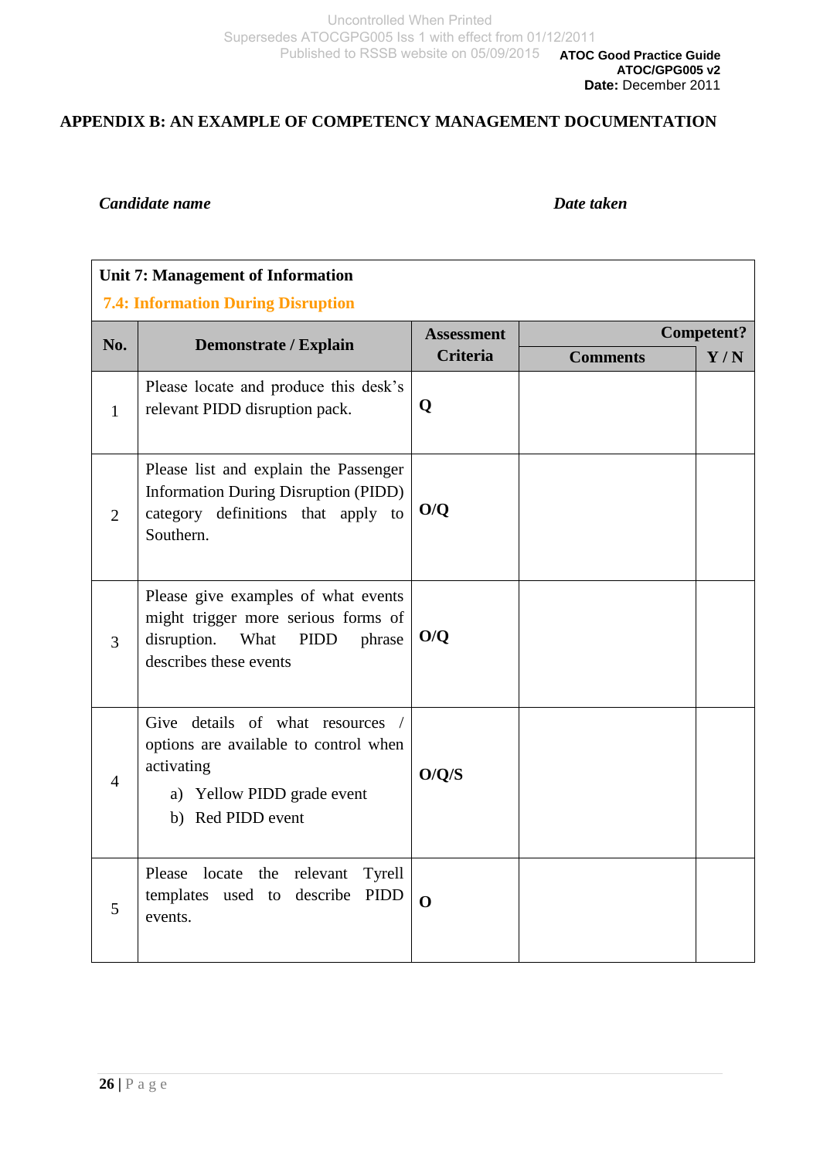### **APPENDIX B: AN EXAMPLE OF COMPETENCY MANAGEMENT DOCUMENTATION**

#### *Candidate name Date taken*

## **Unit 7: Management of Information**

#### **7.4: Information During Disruption**

| No.            | Demonstrate / Explain                                                                                                                         | <b>Assessment</b> | <b>Competent?</b> |     |
|----------------|-----------------------------------------------------------------------------------------------------------------------------------------------|-------------------|-------------------|-----|
|                |                                                                                                                                               | <b>Criteria</b>   | <b>Comments</b>   | Y/N |
| $\mathbf{1}$   | Please locate and produce this desk's<br>relevant PIDD disruption pack.                                                                       | Q                 |                   |     |
| $\overline{2}$ | Please list and explain the Passenger<br><b>Information During Disruption (PIDD)</b><br>category definitions that apply to<br>Southern.       | O/O               |                   |     |
| 3              | Please give examples of what events<br>might trigger more serious forms of<br>disruption.<br>What<br>PIDD<br>phrase<br>describes these events | O/Q               |                   |     |
| $\overline{4}$ | Give details of what resources /<br>options are available to control when<br>activating<br>a) Yellow PIDD grade event<br>b) Red PIDD event    | O/Q/S             |                   |     |
| 5              | Please<br>locate<br>the relevant<br>Tyrell<br>templates used to describe PIDD<br>events.                                                      | $\mathbf 0$       |                   |     |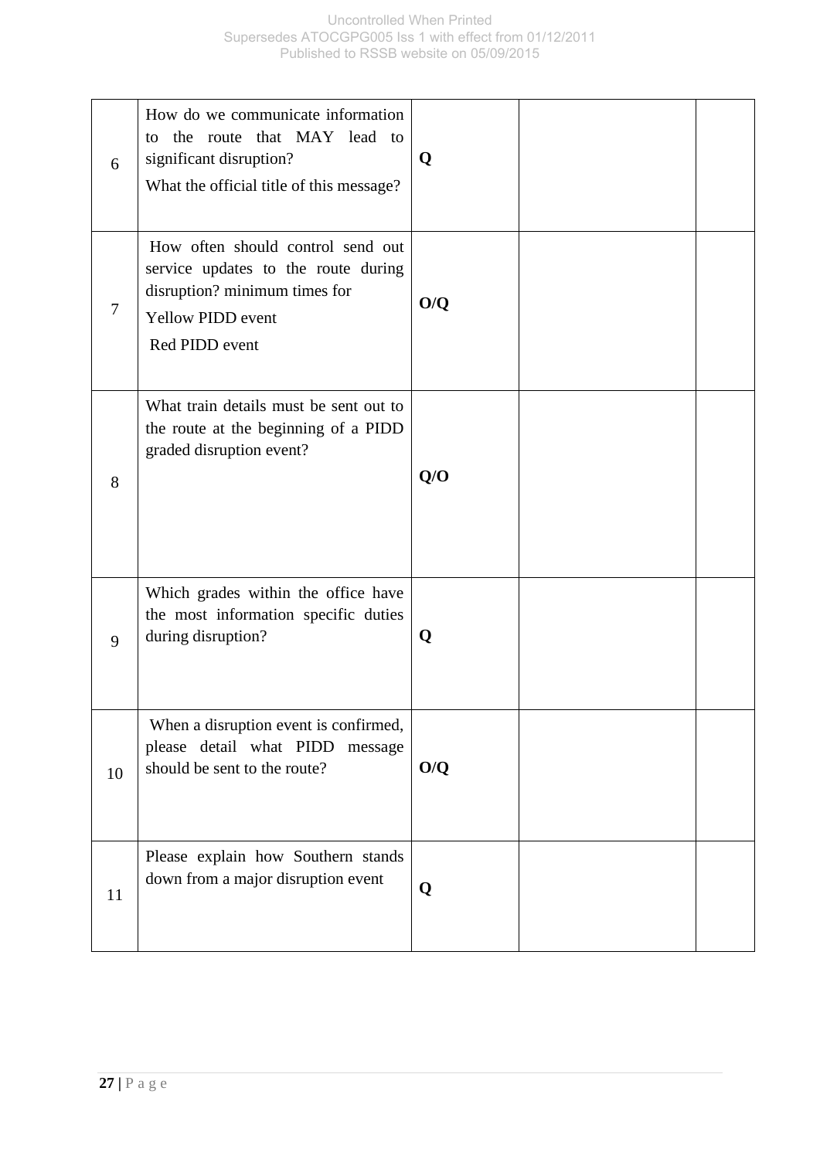| 6  | How do we communicate information<br>to the route that MAY lead to<br>significant disruption?<br>What the official title of this message?               | Q   |  |
|----|---------------------------------------------------------------------------------------------------------------------------------------------------------|-----|--|
| 7  | How often should control send out<br>service updates to the route during<br>disruption? minimum times for<br><b>Yellow PIDD event</b><br>Red PIDD event | O/Q |  |
| 8  | What train details must be sent out to<br>the route at the beginning of a PIDD<br>graded disruption event?                                              | Q/O |  |
| 9  | Which grades within the office have<br>the most information specific duties<br>during disruption?                                                       | Q   |  |
| 10 | When a disruption event is confirmed,<br>please detail what PIDD message<br>should be sent to the route?                                                | O/Q |  |
| 11 | Please explain how Southern stands<br>down from a major disruption event                                                                                | Q   |  |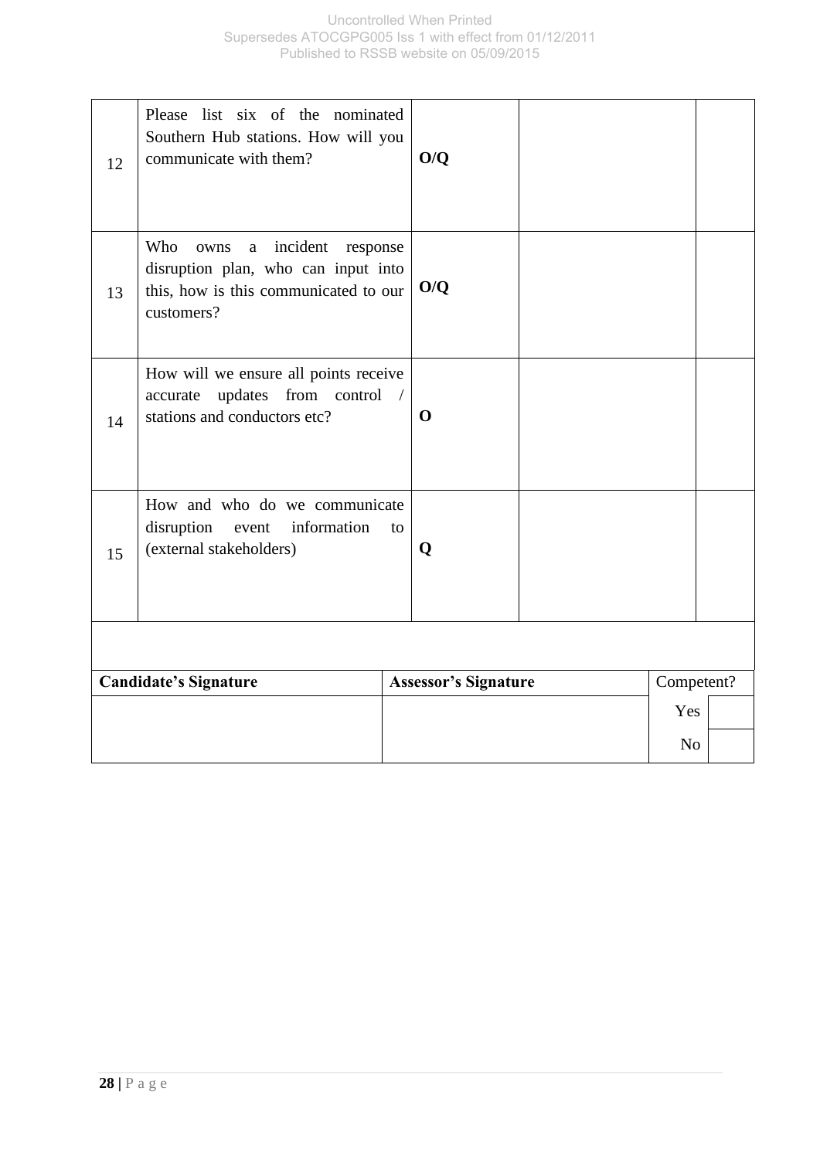| 12 | Please list six of the nominated<br>Southern Hub stations. How will you<br>communicate with them?                                      |    | O/Q                         |                |            |
|----|----------------------------------------------------------------------------------------------------------------------------------------|----|-----------------------------|----------------|------------|
| 13 | Who<br>incident<br>owns<br>response<br>a<br>disruption plan, who can input into<br>this, how is this communicated to our<br>customers? |    | O/Q                         |                |            |
| 14 | How will we ensure all points receive<br>updates from control /<br>accurate<br>stations and conductors etc?                            |    | $\mathbf 0$                 |                |            |
| 15 | How and who do we communicate<br>disruption<br>information<br>event<br>(external stakeholders)                                         | to | Q                           |                |            |
|    |                                                                                                                                        |    |                             |                |            |
|    | <b>Candidate's Signature</b>                                                                                                           |    | <b>Assessor's Signature</b> |                | Competent? |
|    |                                                                                                                                        |    |                             | Yes            |            |
|    |                                                                                                                                        |    |                             | N <sub>o</sub> |            |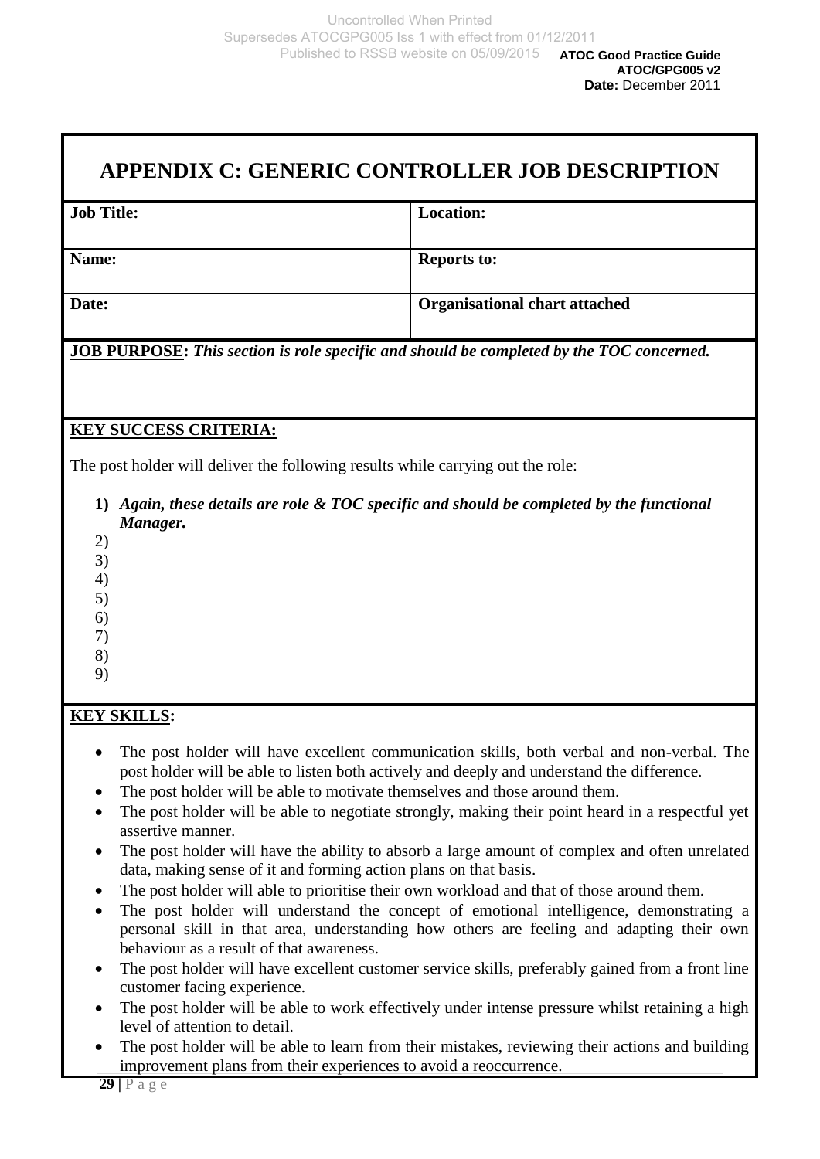## **APPENDIX C: GENERIC CONTROLLER JOB DESCRIPTION**

| <b>Job Title:</b> | <b>Location:</b>                     |
|-------------------|--------------------------------------|
| Name:             | <b>Reports to:</b>                   |
| Date:             | <b>Organisational chart attached</b> |

**JOB PURPOSE:** *This section is role specific and should be completed by the TOC concerned.*

## **KEY SUCCESS CRITERIA:**

The post holder will deliver the following results while carrying out the role:

- **1)** *Again, these details are role & TOC specific and should be completed by the functional Manager.*
- 2)
- 3) 4)
- 5)
- 6)
- 7)
- 8)
- 9)

## **KEY SKILLS:**

- The post holder will have excellent communication skills, both verbal and non-verbal. The post holder will be able to listen both actively and deeply and understand the difference.
- The post holder will be able to motivate themselves and those around them.
- The post holder will be able to negotiate strongly, making their point heard in a respectful yet assertive manner.
- The post holder will have the ability to absorb a large amount of complex and often unrelated data, making sense of it and forming action plans on that basis.
- The post holder will able to prioritise their own workload and that of those around them.
- The post holder will understand the concept of emotional intelligence, demonstrating a personal skill in that area, understanding how others are feeling and adapting their own behaviour as a result of that awareness.
- The post holder will have excellent customer service skills, preferably gained from a front line customer facing experience.
- The post holder will be able to work effectively under intense pressure whilst retaining a high level of attention to detail.
- The post holder will be able to learn from their mistakes, reviewing their actions and building improvement plans from their experiences to avoid a reoccurrence.